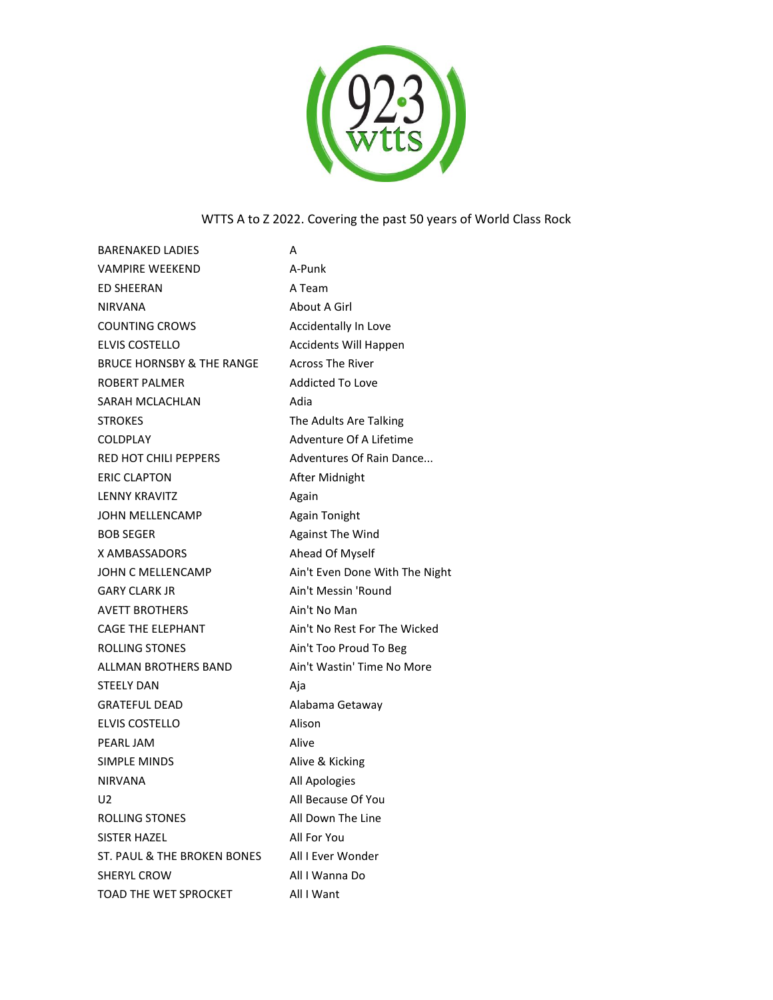

## WTTS A to Z 2022. Covering the past 50 years of World Class Rock

| <b>BARENAKED LADIES</b>              | А                              |
|--------------------------------------|--------------------------------|
| <b>VAMPIRE WEEKEND</b>               | A-Punk                         |
| <b>ED SHEERAN</b>                    | A Team                         |
| <b>NIRVANA</b>                       | About A Girl                   |
| <b>COUNTING CROWS</b>                | Accidentally In Love           |
| <b>ELVIS COSTELLO</b>                | Accidents Will Happen          |
| <b>BRUCE HORNSBY &amp; THE RANGE</b> | <b>Across The River</b>        |
| ROBERT PALMER                        | <b>Addicted To Love</b>        |
| SARAH MCLACHLAN                      | Adia                           |
| <b>STROKES</b>                       | The Adults Are Talking         |
| <b>COLDPLAY</b>                      | Adventure Of A Lifetime        |
| RED HOT CHILI PEPPERS                | Adventures Of Rain Dance       |
| <b>ERIC CLAPTON</b>                  | After Midnight                 |
| <b>LENNY KRAVITZ</b>                 | Again                          |
| JOHN MELLENCAMP                      | Again Tonight                  |
| <b>BOB SEGER</b>                     | <b>Against The Wind</b>        |
| X AMBASSADORS                        | Ahead Of Myself                |
| JOHN C MELLENCAMP                    | Ain't Even Done With The Night |
| <b>GARY CLARK JR</b>                 | Ain't Messin 'Round            |
| <b>AVETT BROTHERS</b>                | Ain't No Man                   |
| <b>CAGE THE ELEPHANT</b>             | Ain't No Rest For The Wicked   |
| ROLLING STONES                       | Ain't Too Proud To Beg         |
| <b>ALLMAN BROTHERS BAND</b>          | Ain't Wastin' Time No More     |
| <b>STEELY DAN</b>                    | Aja                            |
| <b>GRATEFUL DEAD</b>                 | Alabama Getaway                |
| <b>ELVIS COSTELLO</b>                | Alison                         |
| PEARL JAM                            | Alive                          |
| <b>SIMPLE MINDS</b>                  | Alive & Kicking                |
| <b>NIRVANA</b>                       | All Apologies                  |
| U2                                   | All Because Of You             |
| ROLLING STONES                       | All Down The Line              |
| SISTER HAZEL                         | All For You                    |
| ST. PAUL & THE BROKEN BONES          | All I Ever Wonder              |
| <b>SHERYL CROW</b>                   | All I Wanna Do                 |
| TOAD THE WET SPROCKET                | All I Want                     |
|                                      |                                |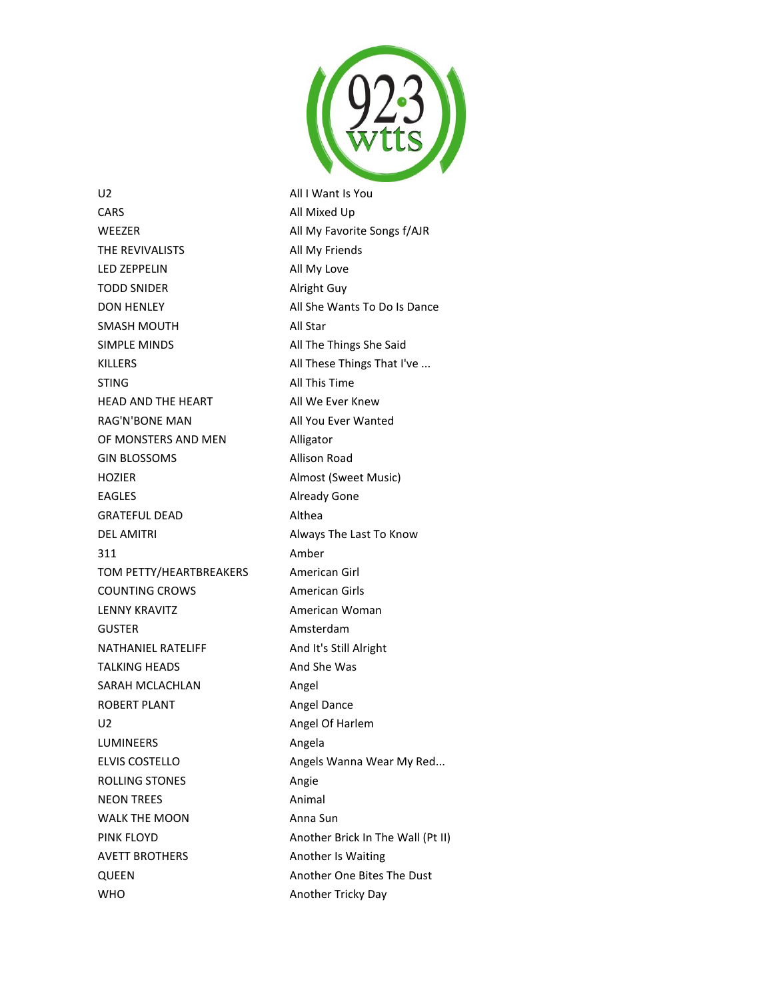

U2 All I Want Is You CARS All Mixed Up WEEZER All My Favorite Songs f/AJR THE REVIVALISTS All My Friends LED ZEPPELIN All My Love TODD SNIDER Alright Guy DON HENLEY All She Wants To Do Is Dance SMASH MOUTH All Star SIMPLE MINDS All The Things She Said KILLERS **All These Things That I've ...** STING All This Time HEAD AND THE HEART All We Ever Knew RAG'N'BONE MAN All You Ever Wanted OF MONSTERS AND MEN Alligator GIN BLOSSOMS Allison Road HOZIER Almost (Sweet Music) EAGLES Already Gone GRATEFUL DEAD Althea DEL AMITRI **Always The Last To Know** 311 Amber TOM PETTY/HEARTBREAKERS American Girl COUNTING CROWS American Girls LENNY KRAVITZ **American Woman** GUSTER Amsterdam NATHANIEL RATELIFF And It's Still Alright TALKING HEADS And She Was SARAH MCLACHLAN **Angel** ROBERT PLANT **Angel Dance** U2 Angel Of Harlem LUMINEERS Angela ELVIS COSTELLO **Angels Wanna Wear My Red...** ROLLING STONES Angie NEON TREES Animal WALK THE MOON Anna Sun PINK FLOYD **Another Brick In The Wall (Pt II)** AVETT BROTHERS Another Is Waiting QUEEN Another One Bites The Dust WHO **Another Tricky Day**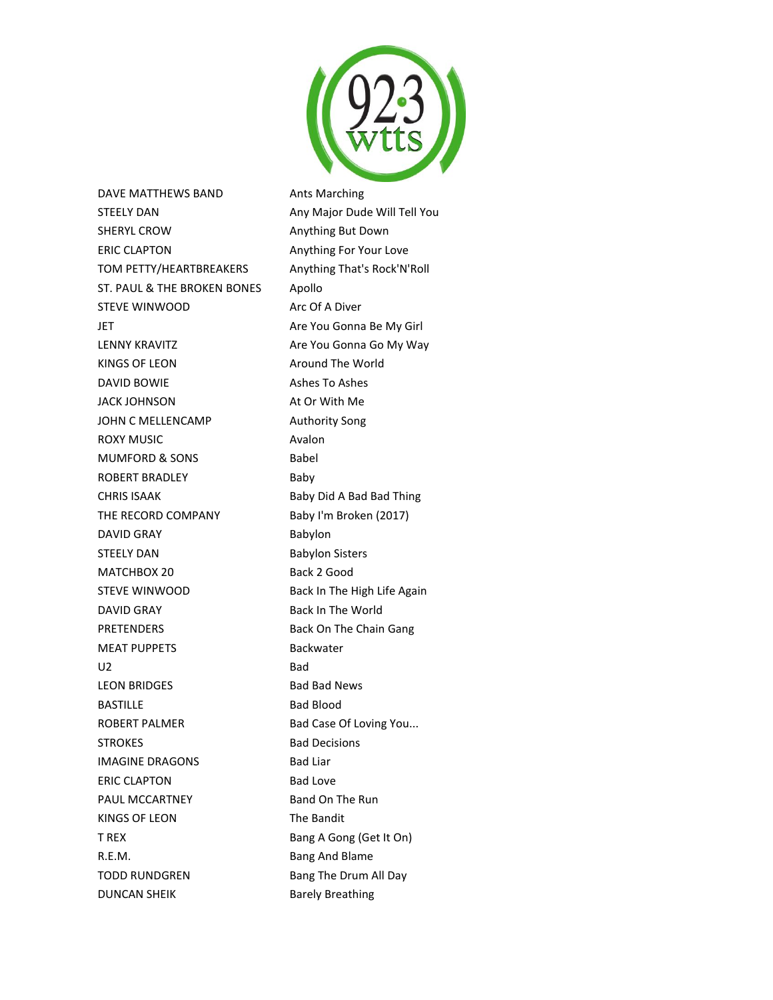

DAVE MATTHEWS BAND Ants Marching STEELY DAN Any Major Dude Will Tell You SHERYL CROW **Anything But Down** ERIC CLAPTON Anything For Your Love TOM PETTY/HEARTBREAKERS Anything That's Rock'N'Roll ST. PAUL & THE BROKEN BONES Apollo STEVE WINWOOD Arc Of A Diver JET Are You Gonna Be My Girl LENNY KRAVITZ **Are You Gonna Go My Way** KINGS OF LEON Around The World DAVID BOWIE Ashes To Ashes JACK JOHNSON At Or With Me JOHN C MELLENCAMP Authority Song ROXY MUSIC **Avalon** MUMFORD & SONS Babel ROBERT BRADLEY Baby CHRIS ISAAK Baby Did A Bad Bad Thing THE RECORD COMPANY Baby I'm Broken (2017) DAVID GRAY Babylon STEELY DAN Babylon Sisters MATCHBOX 20 Back 2 Good STEVE WINWOOD Back In The High Life Again DAVID GRAY Back In The World PRETENDERS Back On The Chain Gang MEAT PUPPETS Backwater U2 Bad LEON BRIDGES Bad Bad News BASTILLE BASTILLE ROBERT PALMER Bad Case Of Loving You... STROKES Bad Decisions IMAGINE DRAGONS Bad Liar ERIC CLAPTON Bad Love PAUL MCCARTNEY Band On The Run KINGS OF LEON The Bandit T REX Bang A Gong (Get It On) R.E.M. Bang And Blame TODD RUNDGREN Bang The Drum All Day

DUNCAN SHEIK Barely Breathing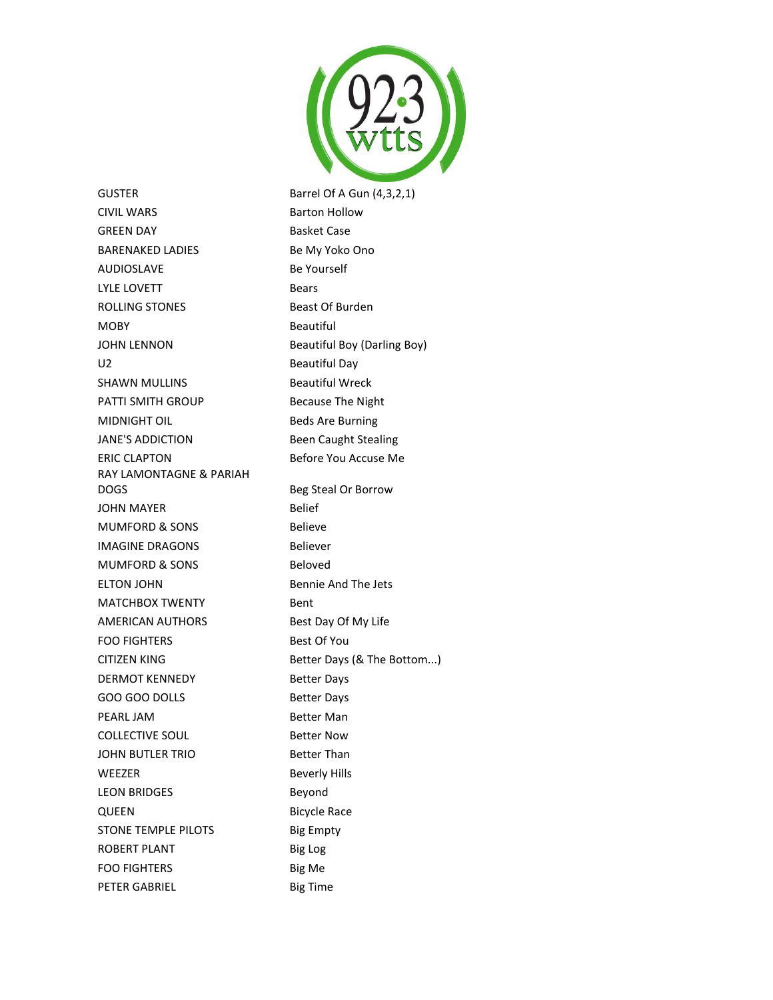

GUSTER Barrel Of A Gun (4,3,2,1) CIVIL WARS Barton Hollow GREEN DAY Basket Case BARENAKED LADIES Be My Yoko Ono AUDIOSLAVE Be Yourself LYLE LOVETT Bears ROLLING STONES Beast Of Burden MOBY Beautiful JOHN LENNON Beautiful Boy (Darling Boy) U2 Beautiful Day SHAWN MULLINS Beautiful Wreck PATTI SMITH GROUP Because The Night MIDNIGHT OIL **Beds** Are Burning JANE'S ADDICTION Been Caught Stealing ERIC CLAPTON Before You Accuse Me RAY LAMONTAGNE & PARIAH DOGS Beg Steal Or Borrow JOHN MAYER Belief MUMFORD & SONS Believe **IMAGINE DRAGONS** Believer MUMFORD & SONS Beloved ELTON JOHN Bennie And The Jets MATCHBOX TWENTY Bent AMERICAN AUTHORS Best Day Of My Life FOO FIGHTERS Best Of You CITIZEN KING Better Days (& The Bottom...) DERMOT KENNEDY Better Days GOO GOO DOLLS Better Days PEARL JAM Better Man COLLECTIVE SOUL Better Now JOHN BUTLER TRIO Better Than WEEZER Beverly Hills LEON BRIDGES Beyond QUEEN Bicycle Race STONE TEMPLE PILOTS Big Empty ROBERT PLANT Big Log FOO FIGHTERS Big Me PETER GABRIEL Big Time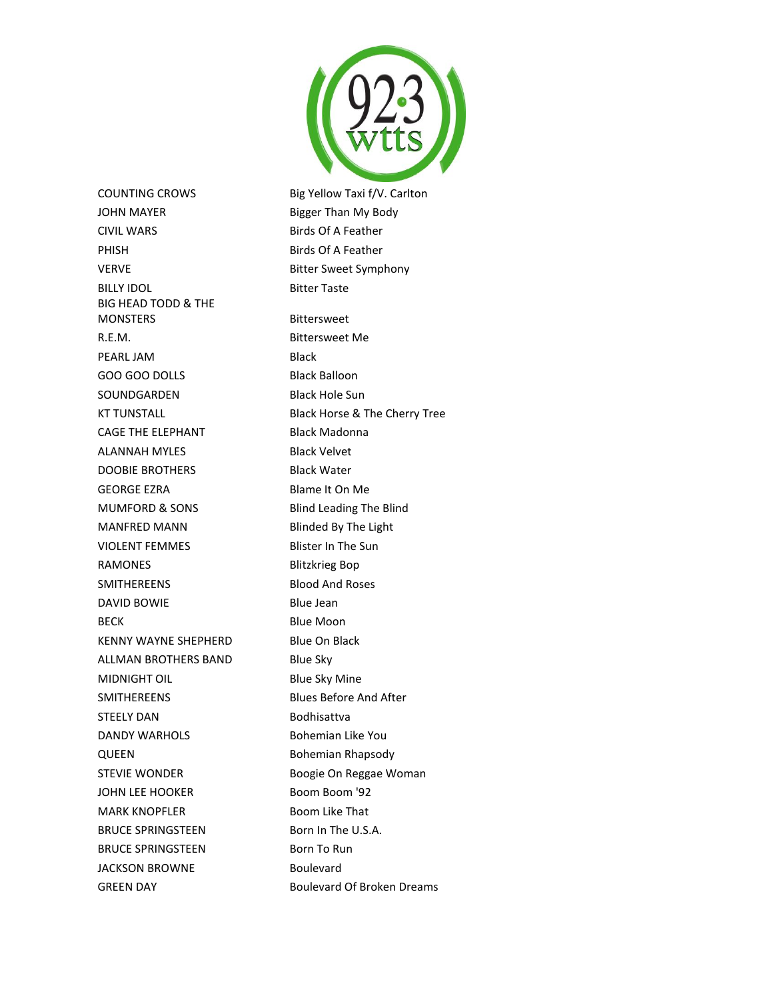

COUNTING CROWS Big Yellow Taxi f/V. Carlton JOHN MAYER Bigger Than My Body CIVIL WARS Birds Of A Feather PHISH Birds Of A Feather VERVE **Bitter Sweet Symphony** BILLY IDOL Bitter Taste BIG HEAD TODD & THE MONSTERS Bittersweet R.E.M. Bittersweet Me PEARL JAM Black GOO GOO DOLLS Black Balloon SOUNDGARDEN Black Hole Sun CAGE THE ELEPHANT Black Madonna ALANNAH MYLES Black Velvet DOOBIE BROTHERS Black Water GEORGE EZRA Blame It On Me MUMFORD & SONS Blind Leading The Blind MANFRED MANN Blinded By The Light VIOLENT FEMMES Blister In The Sun RAMONES Blitzkrieg Bop SMITHEREENS Blood And Roses DAVID BOWIE Blue Jean BECK Blue Moon KENNY WAYNE SHEPHERD Blue On Black ALLMAN BROTHERS BAND Blue Sky MIDNIGHT OIL Blue Sky Mine SMITHEREENS Blues Before And After STEELY DAN Bodhisattva DANDY WARHOLS Bohemian Like You QUEEN Bohemian Rhapsody STEVIE WONDER Boogie On Reggae Woman JOHN LEE HOOKER Boom Boom '92 MARK KNOPFLER Boom Like That BRUCE SPRINGSTEEN Born In The U.S.A. BRUCE SPRINGSTEEN Born To Run JACKSON BROWNE Boulevard

KT TUNSTALL Black Horse & The Cherry Tree GREEN DAY **Boulevard Of Broken Dreams**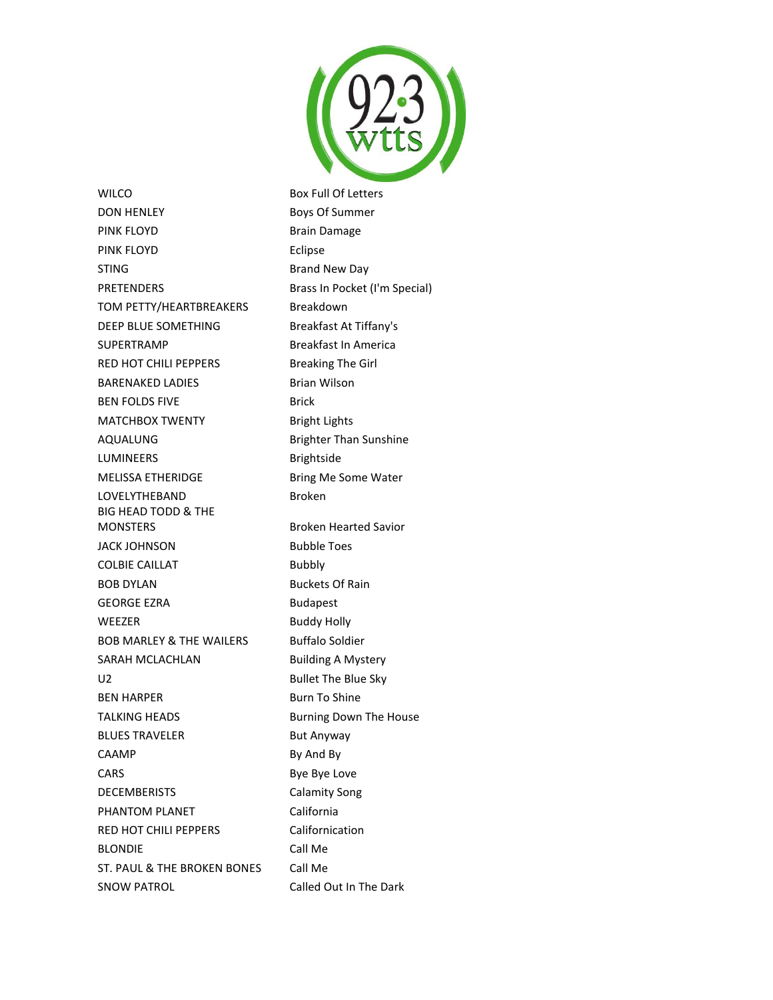

WILCO Box Full Of Letters DON HENLEY Boys Of Summer PINK FLOYD **Brain Damage** PINK FLOYD **Example 20 FLOYD** STING **Brand New Day** PRETENDERS Brass In Pocket (I'm Special) TOM PETTY/HEARTBREAKERS Breakdown DEEP BLUE SOMETHING Breakfast At Tiffany's SUPERTRAMP Breakfast In America RED HOT CHILI PEPPERS Breaking The Girl BARENAKED LADIES Brian Wilson BEN FOLDS FIVE Brick MATCHBOX TWENTY Bright Lights AQUALUNG Brighter Than Sunshine LUMINEERS Brightside MELISSA ETHERIDGE Bring Me Some Water LOVELYTHEBAND Broken BIG HEAD TODD & THE MONSTERS Broken Hearted Savior JACK JOHNSON Bubble Toes COLBIE CAILLAT Bubbly BOB DYLAN BUCkets Of Rain GEORGE EZRA Budapest WEEZER Buddy Holly BOB MARLEY & THE WAILERS Buffalo Soldier SARAH MCLACHLAN Building A Mystery U2 Bullet The Blue Sky BEN HARPER Burn To Shine TALKING HEADS Burning Down The House BLUES TRAVELER But Anyway CAAMP By And By CARS Bye Bye Love DECEMBERISTS Calamity Song PHANTOM PLANET California RED HOT CHILI PEPPERS Californication BLONDIE Call Me ST. PAUL & THE BROKEN BONES Call Me SNOW PATROL Called Out In The Dark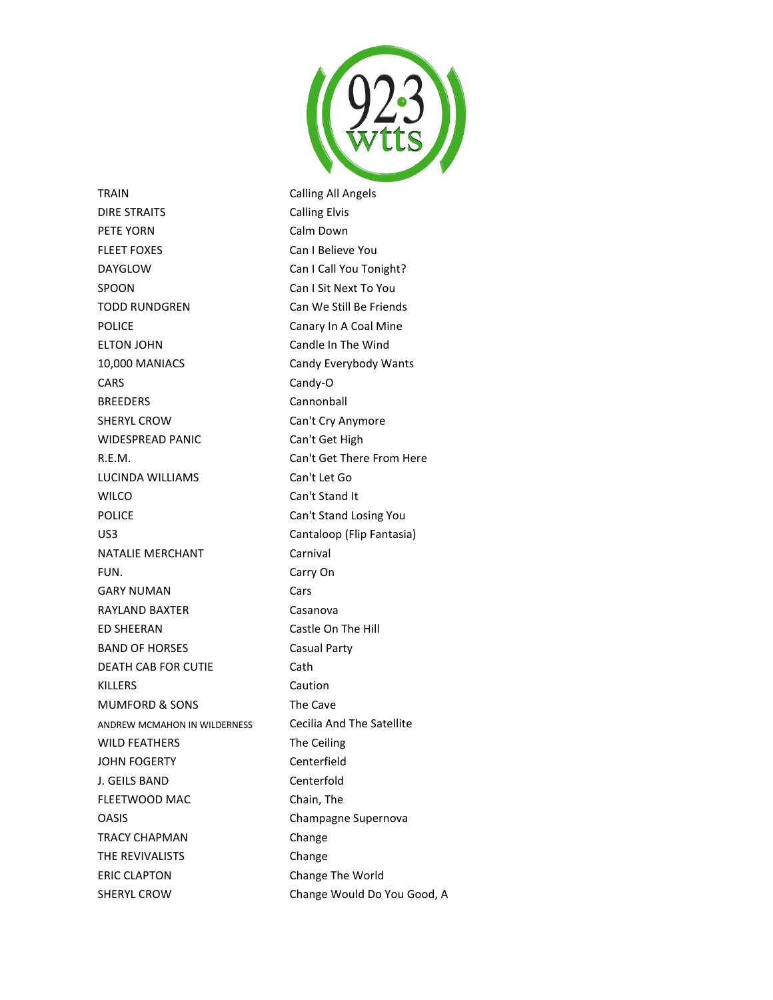

TRAIN Calling All Angels DIRE STRAITS Calling Elvis PETE YORN Calm Down FLEET FOXES Can I Believe You DAYGLOW Can I Call You Tonight? SPOON Can I Sit Next To You TODD RUNDGREN Can We Still Be Friends POLICE **Canary In A Coal Mine** ELTON JOHN Candle In The Wind 10,000 MANIACS Candy Everybody Wants CARS Candy-O BREEDERS Cannonball SHERYL CROW Can't Cry Anymore WIDESPREAD PANIC Can't Get High R.E.M. Can't Get There From Here LUCINDA WILLIAMS Can't Let Go WILCO Can't Stand It POLICE Can't Stand Losing You US3 Cantaloop (Flip Fantasia) NATALIE MERCHANT Carnival FUN. Carry On GARY NUMAN Cars RAYLAND BAXTER Casanova ED SHEERAN Castle On The Hill BAND OF HORSES Casual Party DEATH CAB FOR CUTIE Cath KILLERS Caution MUMFORD & SONS The Cave ANDREW MCMAHON IN WILDERNESS Cecilia And The Satellite WILD FEATHERS The Ceiling JOHN FOGERTY Centerfield J. GEILS BAND Centerfold FLEETWOOD MAC Chain, The OASIS Champagne Supernova TRACY CHAPMAN Change THE REVIVALISTS Change ERIC CLAPTON Change The World SHERYL CROW Change Would Do You Good, A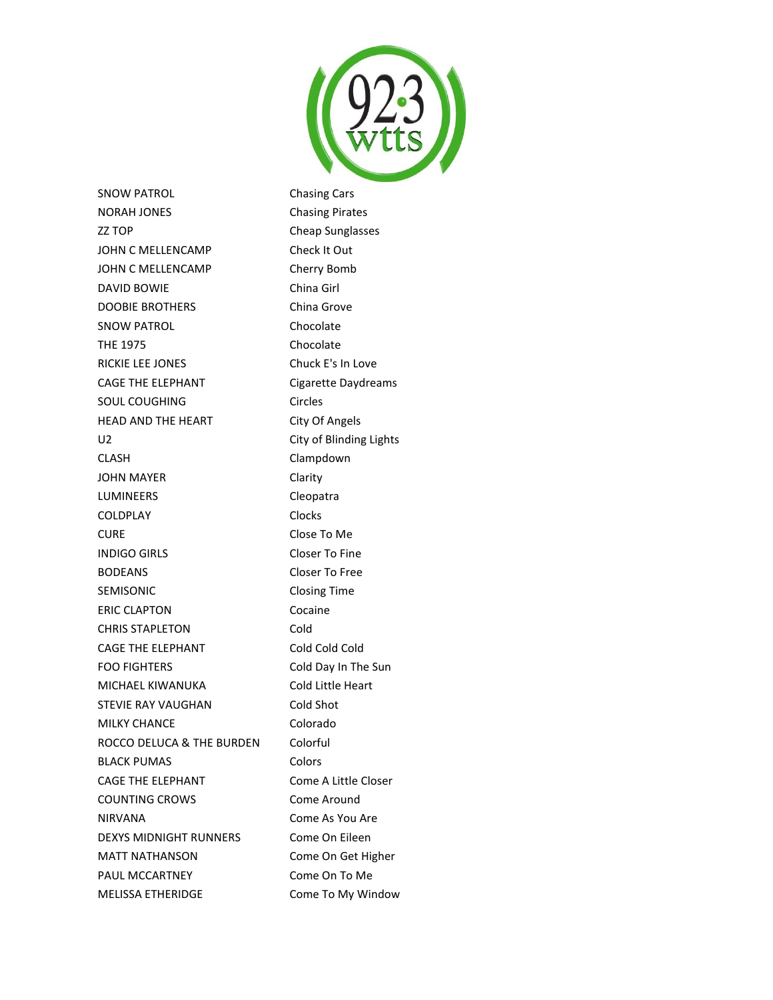

SNOW PATROL **Chasing Cars** NORAH JONES Chasing Pirates ZZ TOP Cheap Sunglasses JOHN C MELLENCAMP Check It Out JOHN C MELLENCAMP Cherry Bomb DAVID BOWIE China Girl DOOBIE BROTHERS China Grove SNOW PATROL Chocolate THE 1975 Chocolate RICKIE LEE JONES Chuck E's In Love CAGE THE ELEPHANT Cigarette Daydreams SOUL COUGHING Circles HEAD AND THE HEART City Of Angels U2 City of Blinding Lights CLASH Clampdown JOHN MAYER Clarity LUMINEERS Cleopatra COLDPLAY Clocks CURE Close To Me INDIGO GIRLS Closer To Fine BODEANS Closer To Free SEMISONIC Closing Time ERIC CLAPTON Cocaine CHRIS STAPLETON Cold CAGE THE ELEPHANT Cold Cold Cold FOO FIGHTERS Cold Day In The Sun MICHAEL KIWANUKA Cold Little Heart STEVIE RAY VAUGHAN Cold Shot MILKY CHANCE Colorado ROCCO DELUCA & THE BURDEN Colorful BLACK PUMAS Colors CAGE THE ELEPHANT Come A Little Closer COUNTING CROWS Come Around NIRVANA Come As You Are DEXYS MIDNIGHT RUNNERS Come On Eileen MATT NATHANSON Come On Get Higher PAUL MCCARTNEY Come On To Me MELISSA ETHERIDGE Come To My Window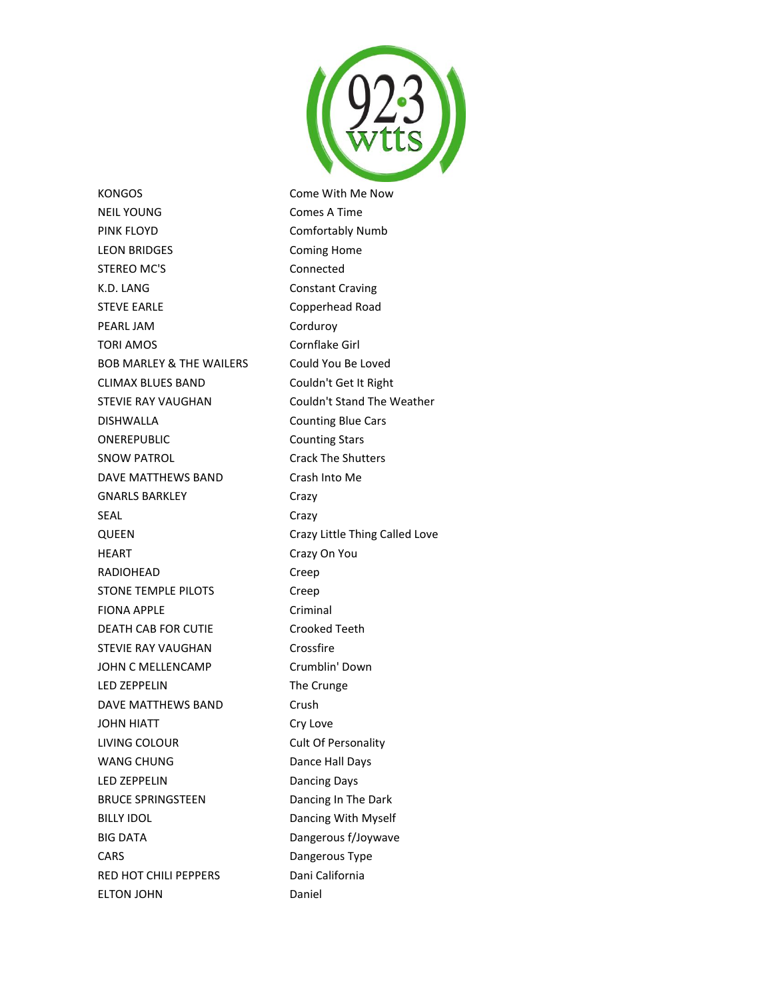

KONGOS **Come With Me Now** NEIL YOUNG Comes A Time PINK FLOYD Comfortably Numb LEON BRIDGES Coming Home STEREO MC'S
STEREO MC'S
S K.D. LANG Constant Craving STEVE EARLE Copperhead Road PEARL JAM Corduroy TORI AMOS Cornflake Girl BOB MARLEY & THE WAILERS Could You Be Loved CLIMAX BLUES BAND Couldn't Get It Right STEVIE RAY VAUGHAN Couldn't Stand The Weather DISHWALLA Counting Blue Cars ONEREPUBLIC Counting Stars SNOW PATROL **Crack The Shutters** DAVE MATTHEWS BAND Crash Into Me GNARLS BARKLEY Crazy SEAL Crazy QUEEN Crazy Little Thing Called Love HEART Crazy On You RADIOHEAD Creep STONE TEMPLE PILOTS Creep FIONA APPLE Criminal DEATH CAB FOR CUTIE Crooked Teeth STEVIE RAY VAUGHAN Crossfire JOHN C MELLENCAMP Crumblin' Down LED ZEPPELIN The Crunge DAVE MATTHEWS BAND Crush JOHN HIATT Cry Love LIVING COLOUR Cult Of Personality WANG CHUNG Dance Hall Days LED ZEPPELIN Dancing Days BRUCE SPRINGSTEEN Dancing In The Dark BILLY IDOL **Dancing With Myself** BIG DATA **Dangerous f/Joywave** CARS Dangerous Type RED HOT CHILI PEPPERS Dani California ELTON JOHN Daniel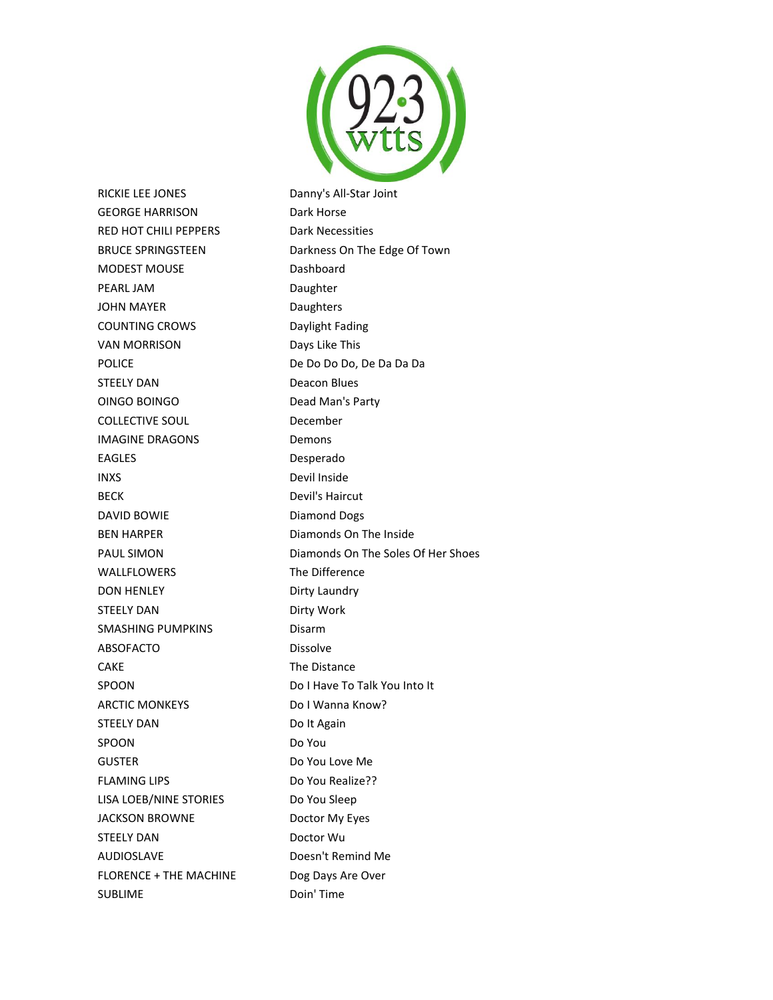

RICKIE LEE JONES Danny's All-Star Joint GEORGE HARRISON Dark Horse RED HOT CHILI PEPPERS Dark Necessities MODEST MOUSE Dashboard PEARL JAM Daughter JOHN MAYER Daughters COUNTING CROWS Daylight Fading VAN MORRISON Days Like This POLICE De Do Do Do, De Da Da Da STEELY DAN Deacon Blues OINGO BOINGO Dead Man's Party COLLECTIVE SOUL December IMAGINE DRAGONS Demons EAGLES Desperado INXS Devil Inside BECK Devil's Haircut DAVID BOWIE Diamond Dogs BEN HARPER Diamonds On The Inside WALLFLOWERS The Difference DON HENLEY DIrty Laundry STEELY DAN Dirty Work SMASHING PUMPKINS Disarm ABSOFACTO Dissolve CAKE The Distance SPOON Do I Have To Talk You Into It ARCTIC MONKEYS Do I Wanna Know? STEELY DAN Do It Again SPOON Do You GUSTER Do You Love Me FLAMING LIPS Do You Realize?? LISA LOEB/NINE STORIES Do You Sleep JACKSON BROWNE Doctor My Eyes STEELY DAN Doctor Wu AUDIOSLAVE Doesn't Remind Me FLORENCE + THE MACHINE Dog Days Are Over SUBLIME Doin' Time

BRUCE SPRINGSTEEN Darkness On The Edge Of Town PAUL SIMON Diamonds On The Soles Of Her Shoes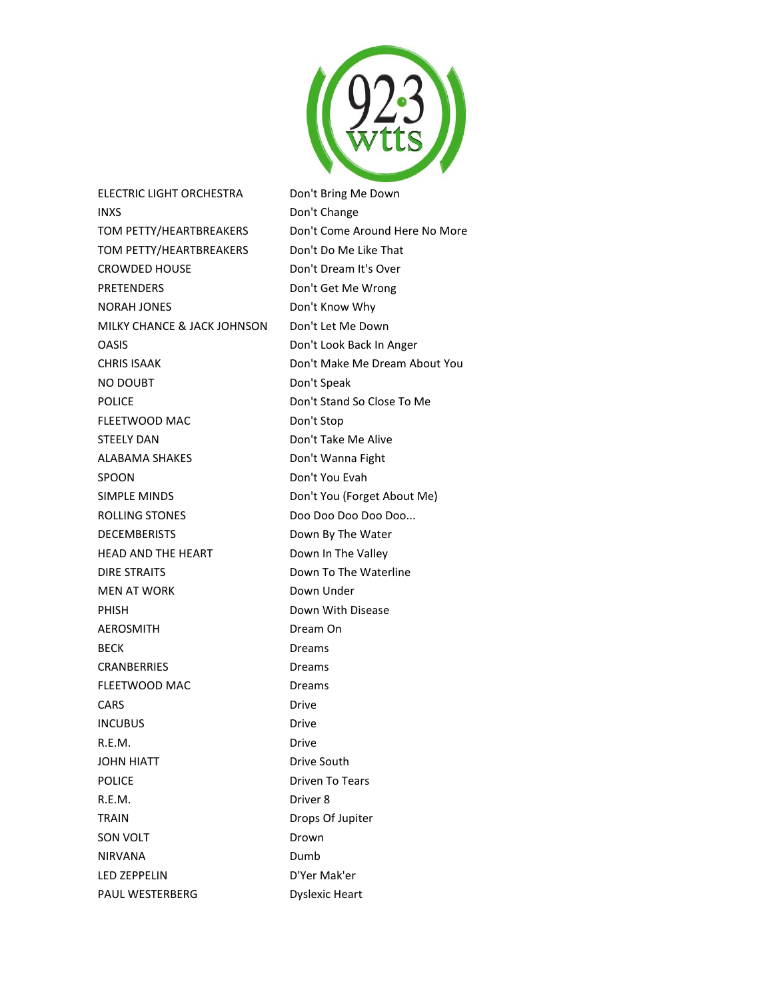

ELECTRIC LIGHT ORCHESTRA Don't Bring Me Down INXS Don't Change TOM PETTY/HEARTBREAKERS Don't Come Around Here No More TOM PETTY/HEARTBREAKERS Don't Do Me Like That CROWDED HOUSE Don't Dream It's Over PRETENDERS Don't Get Me Wrong NORAH JONES Don't Know Why MILKY CHANCE & JACK JOHNSON Don't Let Me Down OASIS Don't Look Back In Anger CHRIS ISAAK Don't Make Me Dream About You NO DOUBT Don't Speak POLICE Don't Stand So Close To Me FLEETWOOD MAC Don't Stop STEELY DAN Don't Take Me Alive ALABAMA SHAKES Don't Wanna Fight SPOON Don't You Evah SIMPLE MINDS Don't You (Forget About Me) ROLLING STONES Doo Doo Doo Doo Doo Doo... DECEMBERISTS Down By The Water HEAD AND THE HEART Down In The Valley DIRE STRAITS Down To The Waterline MEN AT WORK Down Under PHISH Down With Disease AEROSMITH Dream On BECK Dreams CRANBERRIES Dreams FLEETWOOD MAC Dreams CARS Drive INCUBUS Drive R.E.M. Drive JOHN HIATT Drive South POLICE Driven To Tears R.E.M. Driver 8 TRAIN Drops Of Jupiter SON VOLT Drown NIRVANA Dumb LED ZEPPELIN D'Yer Mak'er PAUL WESTERBERG Dyslexic Heart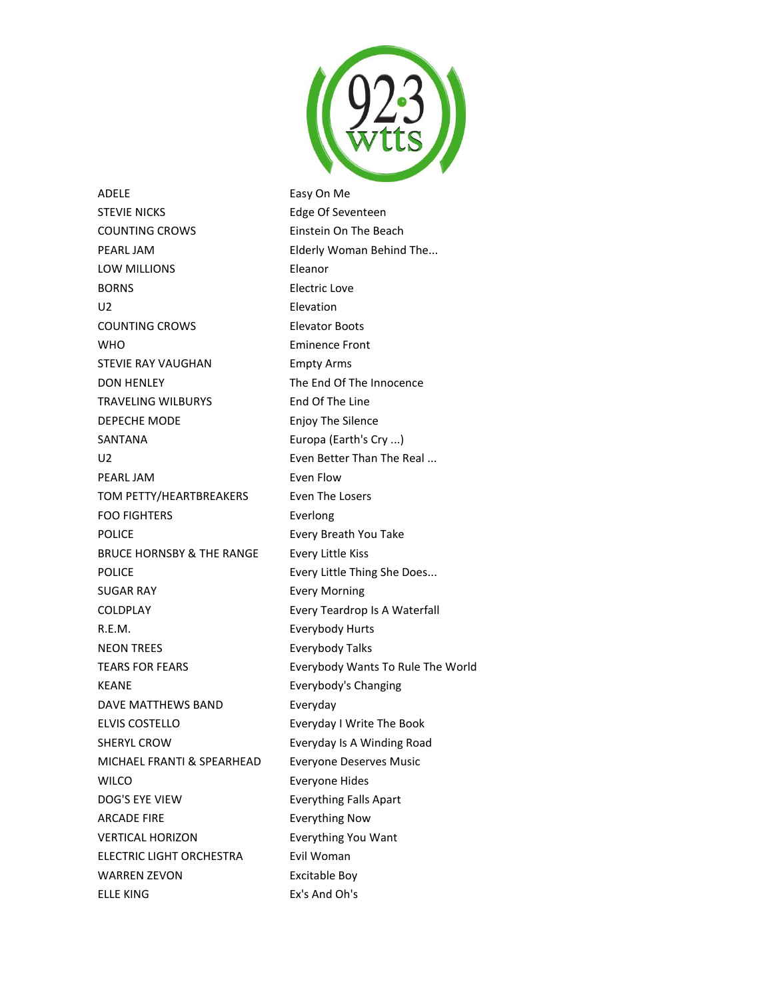

ADELE Easy On Me STEVIE NICKS Edge Of Seventeen COUNTING CROWS Einstein On The Beach PEARL JAM **Elderly Woman Behind The...** LOW MILLIONS Eleanor BORNS **Electric Love** U2 Elevation COUNTING CROWS Elevator Boots WHO **Eminence Front** STEVIE RAY VAUGHAN Empty Arms DON HENLEY The End Of The Innocence TRAVELING WILBURYS End Of The Line DEPECHE MODE Enjoy The Silence SANTANA Europa (Earth's Cry ...) U2 **Even Better Than The Real ...** PEARL JAM **Even Flow** TOM PETTY/HEARTBREAKERS Even The Losers FOO FIGHTERS Everlong POLICE **Every Breath You Take** BRUCE HORNSBY & THE RANGE Every Little Kiss POLICE **Every Little Thing She Does...** SUGAR RAY **Every Morning** COLDPLAY Every Teardrop Is A Waterfall R.E.M. Everybody Hurts NEON TREES Everybody Talks KEANE **Exerybody's Changing** DAVE MATTHEWS BAND Everyday ELVIS COSTELLO Everyday I Write The Book SHERYL CROW **Everyday Is A Winding Road** MICHAEL FRANTI & SPEARHEAD Everyone Deserves Music WILCO **Everyone Hides** DOG'S EYE VIEW Everything Falls Apart ARCADE FIRE **Example 20 Finally Reserve Fig. 2016** Everything Now VERTICAL HORIZON Everything You Want ELECTRIC LIGHT ORCHESTRA Evil Woman WARREN ZEVON Excitable Boy

TEARS FOR FEARS **EXECUTE:** Everybody Wants To Rule The World ELLE KING Ex's And Oh's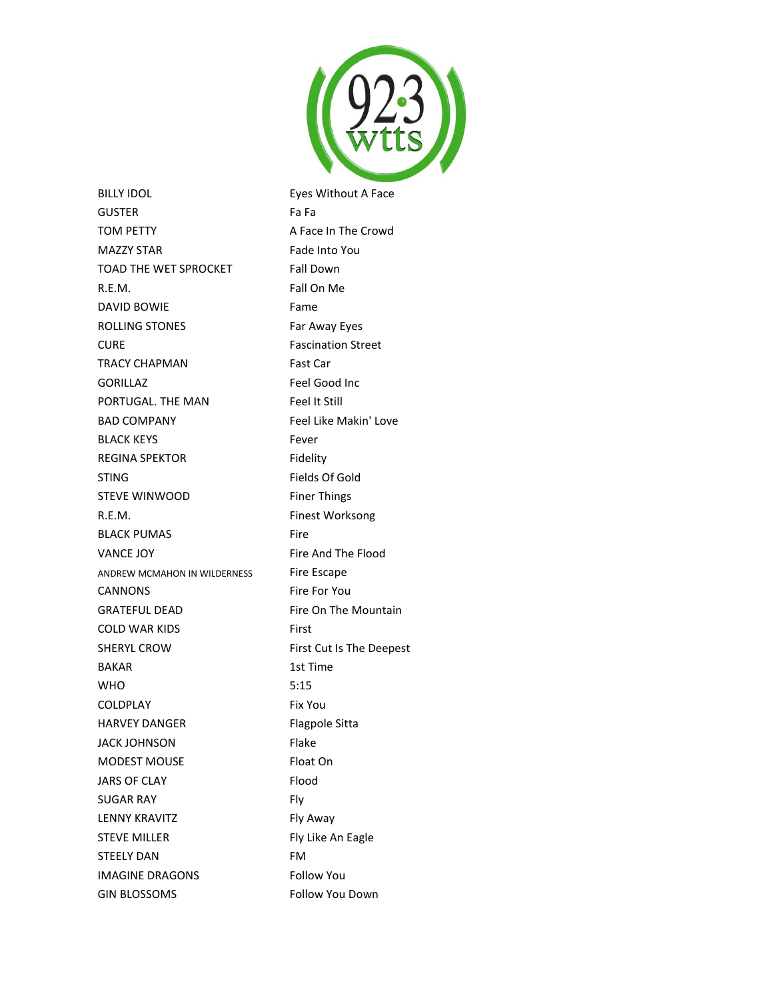

BILLY IDOL **Eyes Without A Face** GUSTER Fa Fa TOM PETTY **A Face In The Crowd** MAZZY STAR Fade Into You TOAD THE WET SPROCKET Fall Down R.E.M. Fall On Me DAVID BOWIE Fame ROLLING STONES Far Away Eyes CURE Fascination Street TRACY CHAPMAN Fast Car GORILLAZ Feel Good Inc PORTUGAL. THE MAN Feel It Still BAD COMPANY Feel Like Makin' Love BLACK KEYS Fever REGINA SPEKTOR Fidelity STING Fields Of Gold STEVE WINWOOD Finer Things R.E.M. Finest Worksong BLACK PUMAS Fire VANCE JOY Fire And The Flood ANDREW MCMAHON IN WILDERNESS Fire Escape CANNONS Fire For You GRATEFUL DEAD Fire On The Mountain COLD WAR KIDS First SHERYL CROW First Cut Is The Deepest BAKAR 1st Time WHO 5:15 COLDPLAY Fix You HARVEY DANGER Flagpole Sitta JACK JOHNSON Flake MODEST MOUSE Float On JARS OF CLAY Flood SUGAR RAY Fly LENNY KRAVITZ Fly Away STEVE MILLER Fly Like An Eagle STEELY DAN FM IMAGINE DRAGONS Follow You GIN BLOSSOMS Follow You Down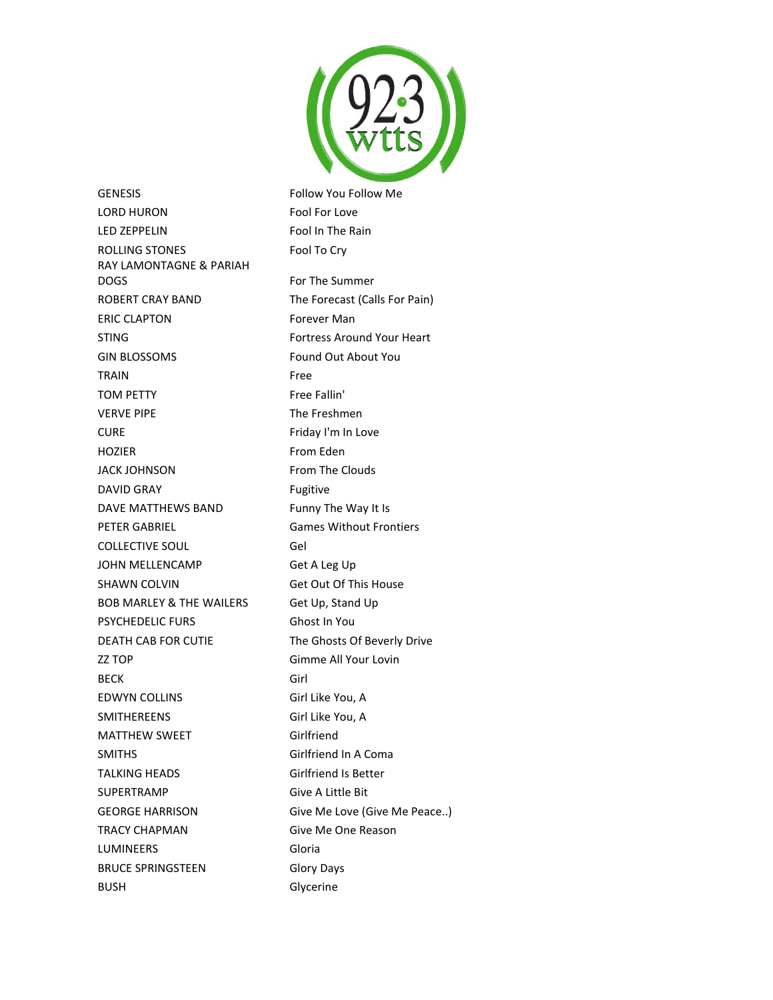

GENESIS **Follow You Follow Me** LORD HURON Fool For Love LED ZEPPELIN Fool In The Rain ROLLING STONES Fool To Cry RAY LAMONTAGNE & PARIAH DOGS For The Summer ROBERT CRAY BAND The Forecast (Calls For Pain) ERIC CLAPTON Forever Man STING **Fortress Around Your Heart** GIN BLOSSOMS Found Out About You TRAIN Free TOM PETTY Free Fallin' VERVE PIPE The Freshmen CURE **Friday I'm In Love** HOZIER From Eden JACK JOHNSON From The Clouds DAVID GRAY **Fugitive** DAVE MATTHEWS BAND Funny The Way It Is PETER GABRIEL GARES Games Without Frontiers COLLECTIVE SOUL Gel JOHN MELLENCAMP Get A Leg Up SHAWN COLVIN Get Out Of This House BOB MARLEY & THE WAILERS Get Up, Stand Up PSYCHEDELIC FURS Ghost In You DEATH CAB FOR CUTIE The Ghosts Of Beverly Drive ZZ TOP Gimme All Your Lovin BECK Girl EDWYN COLLINS Girl Like You, A SMITHEREENS Girl Like You, A MATTHEW SWEET Girlfriend SMITHS Girlfriend In A Coma TALKING HEADS Girlfriend Is Better SUPERTRAMP Give A Little Bit GEORGE HARRISON Give Me Love (Give Me Peace..) TRACY CHAPMAN Give Me One Reason LUMINEERS Gloria BRUCE SPRINGSTEEN Glory Days BUSH Glycerine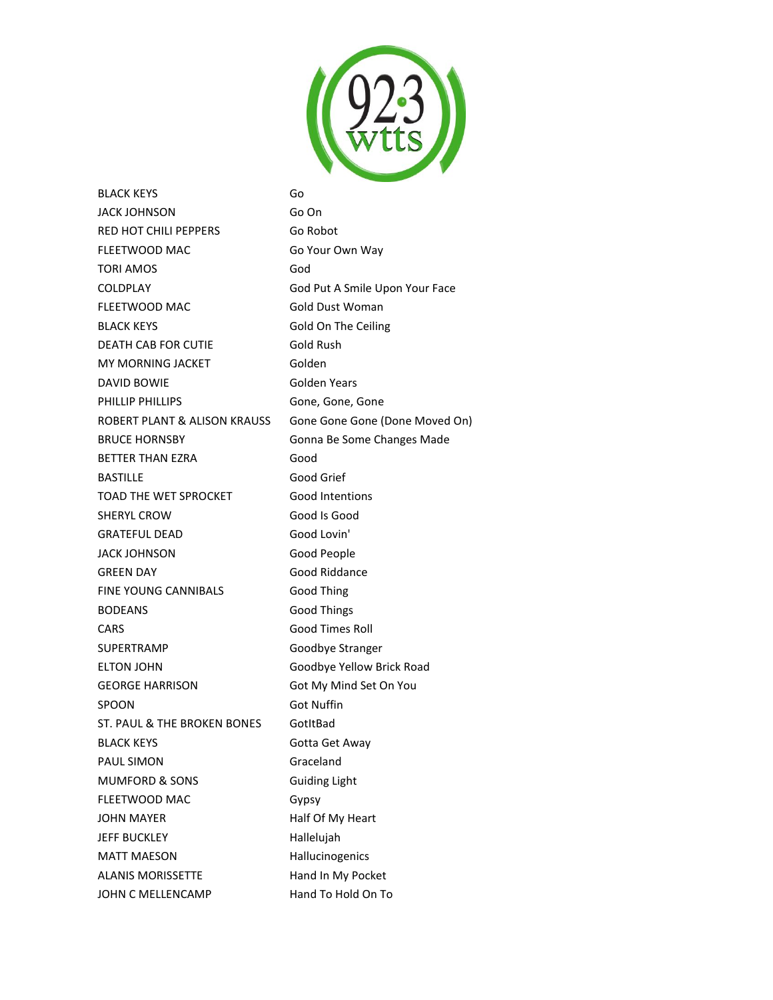

BLACK KEYS Go JACK JOHNSON Go On RED HOT CHILI PEPPERS Go Robot FLEETWOOD MAC Go Your Own Way TORI AMOS God COLDPLAY God Put A Smile Upon Your Face FLEETWOOD MAC Gold Dust Woman BLACK KEYS Gold On The Ceiling DEATH CAB FOR CUTIE Gold Rush MY MORNING JACKET Golden DAVID BOWIE Golden Years PHILLIP PHILLIPS Gone, Gone, Gone, Gone ROBERT PLANT & ALISON KRAUSS Gone Gone Gone (Done Moved On) BRUCE HORNSBY Gonna Be Some Changes Made BETTER THAN EZRA Good BASTILLE Good Grief TOAD THE WET SPROCKET Good Intentions SHERYL CROW Good Is Good GRATEFUL DEAD Good Lovin' JACK JOHNSON Good People GREEN DAY Good Riddance FINE YOUNG CANNIBALS Good Thing BODEANS Good Things CARS Good Times Roll SUPERTRAMP Goodbye Stranger ELTON JOHN Goodbye Yellow Brick Road GEORGE HARRISON Got My Mind Set On You SPOON Got Nuffin ST. PAUL & THE BROKEN BONES GotItBad BLACK KEYS Gotta Get Away PAUL SIMON Graceland MUMFORD & SONS Guiding Light FLEETWOOD MAC Gypsy JOHN MAYER Half Of My Heart JEFF BUCKLEY Hallelujah MATT MAESON Hallucinogenics ALANIS MORISSETTE Hand In My Pocket JOHN C MELLENCAMP Hand To Hold On To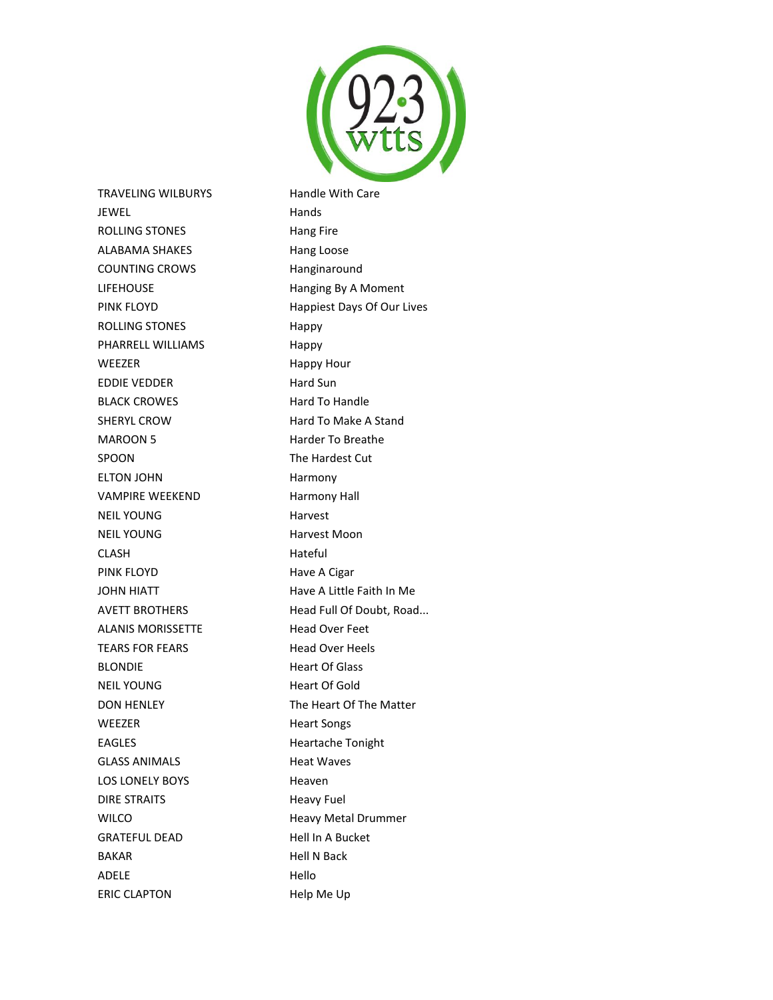

TRAVELING WILBURYS Handle With Care JEWEL **Hands** ROLLING STONES Hang Fire ALABAMA SHAKES Hang Loose COUNTING CROWS Hanginaround LIFEHOUSE Hanging By A Moment PINK FLOYD **Happiest Days Of Our Lives** ROLLING STONES Happy PHARRELL WILLIAMS Happy WEEZER Happy Hour EDDIE VEDDER Hard Sun BLACK CROWES Hard To Handle SHERYL CROW **Hard To Make A Stand** MAROON 5 Harder To Breathe SPOON The Hardest Cut ELTON JOHN Harmony VAMPIRE WEEKEND Harmony Hall NEIL YOUNG Harvest NEIL YOUNG **Harvest Moon** CLASH Hateful PINK FLOYD **Have A Cigar** JOHN HIATT **Have A Little Faith In Me** AVETT BROTHERS Head Full Of Doubt, Road... ALANIS MORISSETTE Head Over Feet TEARS FOR FEARS Head Over Heels BLONDIE Heart Of Glass NEIL YOUNG Heart Of Gold DON HENLEY The Heart Of The Matter WEEZER Heart Songs EAGLES Heartache Tonight GLASS ANIMALS Heat Waves LOS LONELY BOYS Heaven DIRE STRAITS Heavy Fuel WILCO **Heavy Metal Drummer** GRATEFUL DEAD Hell In A Bucket BAKAR Hell N Back ADELE Hello ERIC CLAPTON Help Me Up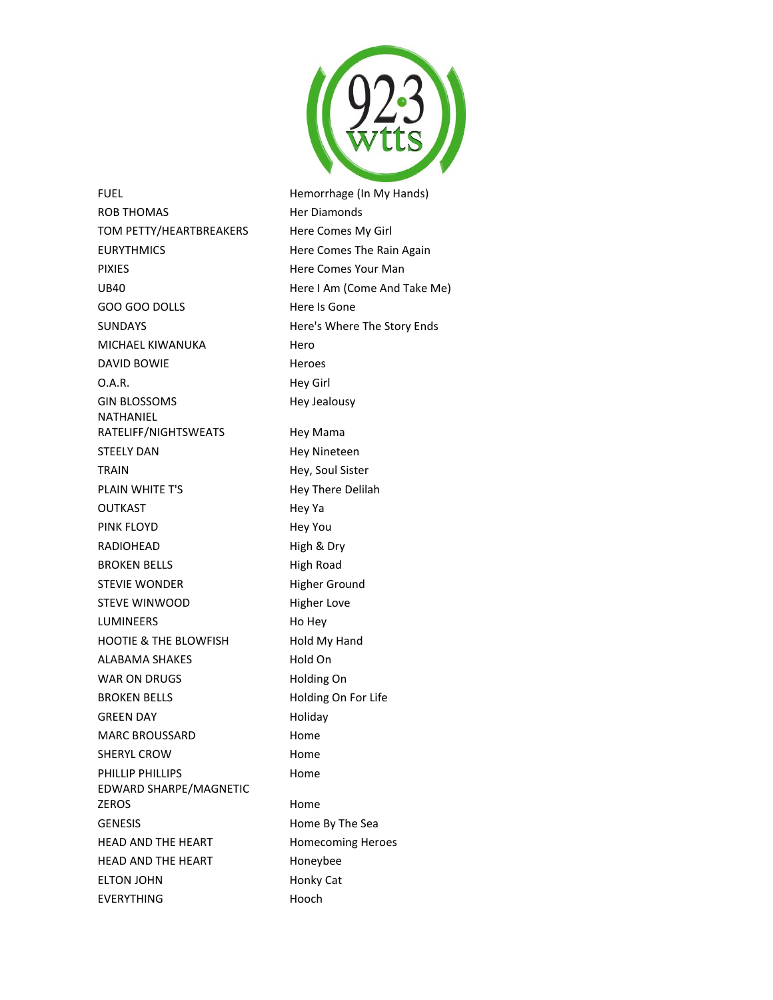

FUEL FUEL **Hemorrhage** (In My Hands) ROB THOMAS Her Diamonds TOM PETTY/HEARTBREAKERS Here Comes My Girl EURYTHMICS Here Comes The Rain Again PIXIES **Here Comes Your Man** UB40 Here I Am (Come And Take Me) GOO GOO DOLLS Here Is Gone SUNDAYS Here's Where The Story Ends MICHAEL KIWANUKA Hero DAVID BOWIE Heroes O.A.R. Hey Girl GIN BLOSSOMS Hey Jealousy NATHANIEL RATELIFF/NIGHTSWEATS Hey Mama STEELY DAN Hey Nineteen TRAIN Hey, Soul Sister PLAIN WHITE T'S Hey There Delilah OUTKAST Hey Ya PINK FLOYD **Hey You** RADIOHEAD High & Dry BROKEN BELLS High Road STEVIE WONDER Higher Ground STEVE WINWOOD Higher Love LUMINEERS Ho Hey HOOTIE & THE BLOWFISH Hold My Hand ALABAMA SHAKES Hold On WAR ON DRUGS Holding On BROKEN BELLS Holding On For Life GREEN DAY **Holiday** MARC BROUSSARD Home SHERYL CROW **Home** PHILLIP PHILLIPS **Home** EDWARD SHARPE/MAGNETIC ZEROS Home GENESIS Home By The Sea HEAD AND THE HEART Homecoming Heroes HEAD AND THE HEART Honeybee ELTON JOHN Honky Cat EVERYTHING Hooch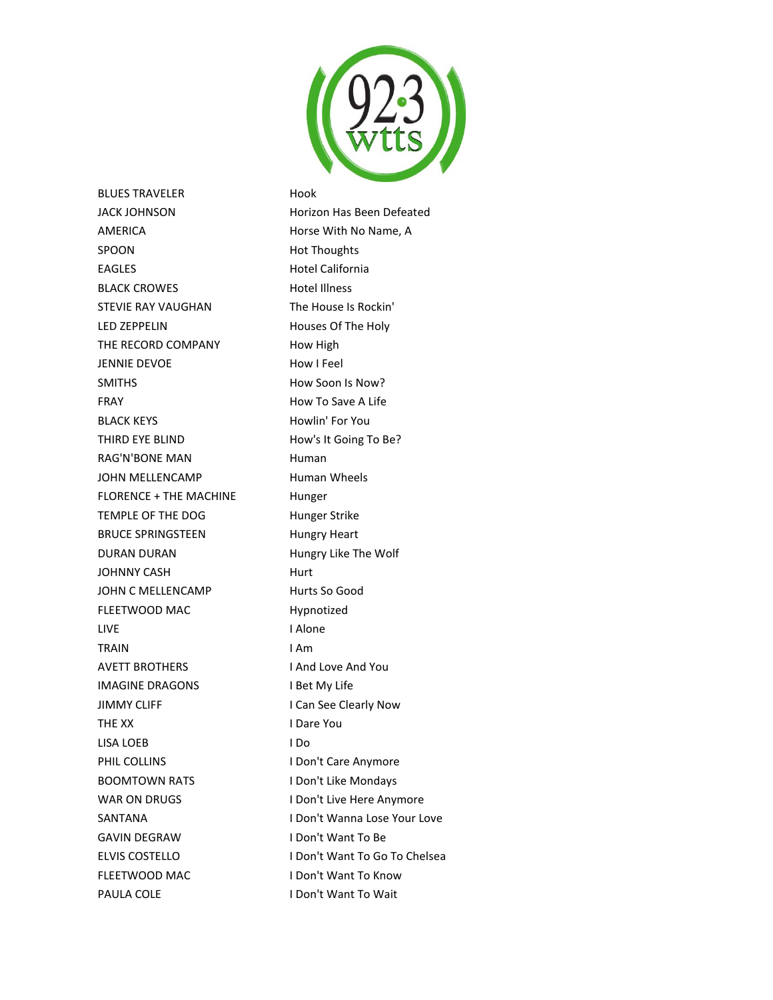

BLUES TRAVELER Hook AMERICA Horse With No Name, A SPOON Hot Thoughts EAGLES Hotel California BLACK CROWES Hotel Illness STEVIE RAY VAUGHAN The House Is Rockin' LED ZEPPELIN Houses Of The Holy THE RECORD COMPANY How High JENNIE DEVOE How I Feel SMITHS **How Soon Is Now?** FRAY **How To Save A Life** BLACK KEYS Howlin' For You THIRD EYE BLIND How's It Going To Be? RAG'N'BONE MAN Human JOHN MELLENCAMP Human Wheels FLORENCE + THE MACHINE Hunger TEMPLE OF THE DOG Hunger Strike BRUCE SPRINGSTEEN Hungry Heart DURAN DURAN Hungry Like The Wolf JOHNNY CASH Hurt JOHN C MELLENCAMP Hurts So Good FLEETWOOD MAC Hypnotized LIVE I Alone TRAIN **I Am** AVETT BROTHERS I And Love And You IMAGINE DRAGONS I Bet My Life JIMMY CLIFF **I Can See Clearly Now** THE XX I Dare You LISA LOEB I Do PHIL COLLINS **I Don't Care Anymore** BOOMTOWN RATS I Don't Like Mondays WAR ON DRUGS I Don't Live Here Anymore GAVIN DEGRAW I Don't Want To Be FLEETWOOD MAC I Don't Want To Know

JACK JOHNSON Horizon Has Been Defeated SANTANA **I Don't Wanna Lose Your Love** ELVIS COSTELLO **I Don't Want To Go To Chelsea** PAULA COLE I Don't Want To Wait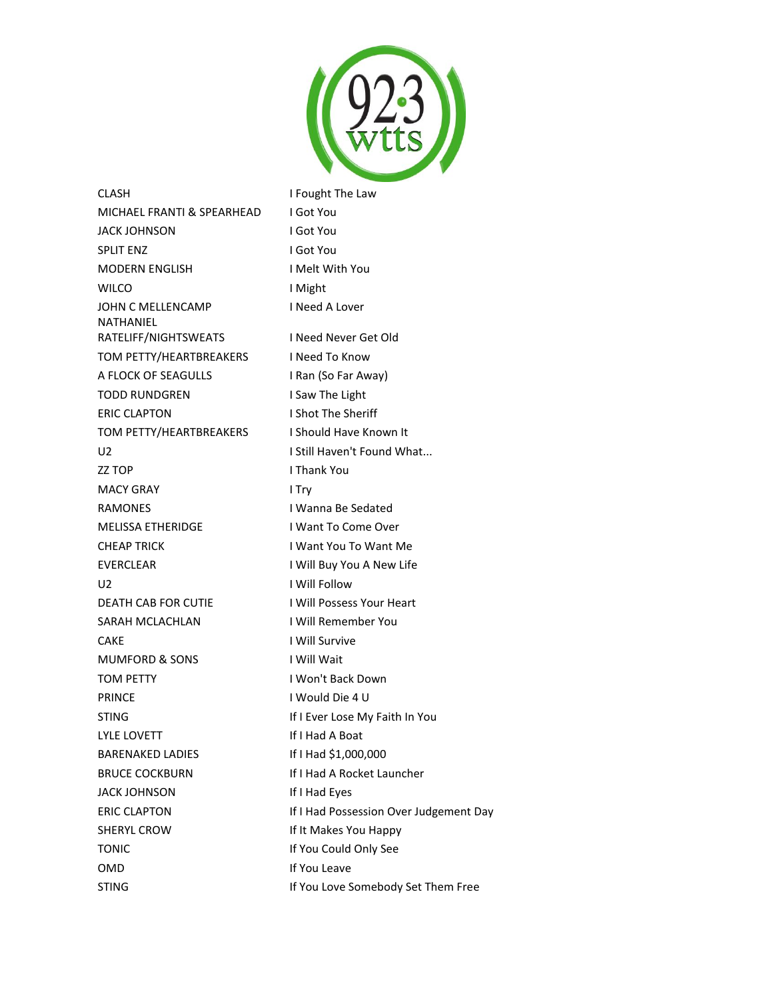

CLASH **I Fought The Law** MICHAEL FRANTI & SPEARHEAD I Got You JACK JOHNSON I Got You SPLIT ENZ I Got You MODERN ENGLISH I Melt With You WILCO I Might JOHN C MELLENCAMP I Need A Lover NATHANIEL RATELIFF/NIGHTSWEATS INeed Never Get Old TOM PETTY/HEARTBREAKERS I Need To Know A FLOCK OF SEAGULLS I Ran (So Far Away) TODD RUNDGREN I Saw The Light ERIC CLAPTON I Shot The Sheriff TOM PETTY/HEARTBREAKERS I Should Have Known It U2 **I Still Haven't Found What...** ZZ TOP I Thank You MACY GRAY **I Try** RAMONES I Wanna Be Sedated MELISSA ETHERIDGE I Want To Come Over CHEAP TRICK I Want You To Want Me EVERCLEAR I Will Buy You A New Life U2 I Will Follow DEATH CAB FOR CUTIE I Will Possess Your Heart SARAH MCLACHLAN I Will Remember You CAKE I Will Survive MUMFORD & SONS I Will Wait TOM PETTY **I** Won't Back Down PRINCE I Would Die 4 U STING **If I Ever Lose My Faith In You** LYLE LOVETT If I Had A Boat BARENAKED LADIES If I Had \$1,000,000 BRUCE COCKBURN If I Had A Rocket Launcher JACK JOHNSON If I Had Eyes ERIC CLAPTON If I Had Possession Over Judgement Day SHERYL CROW **If It Makes You Happy** TONIC **If You Could Only See** OMD **If You Leave** 

STING **If You Love Somebody Set Them Free**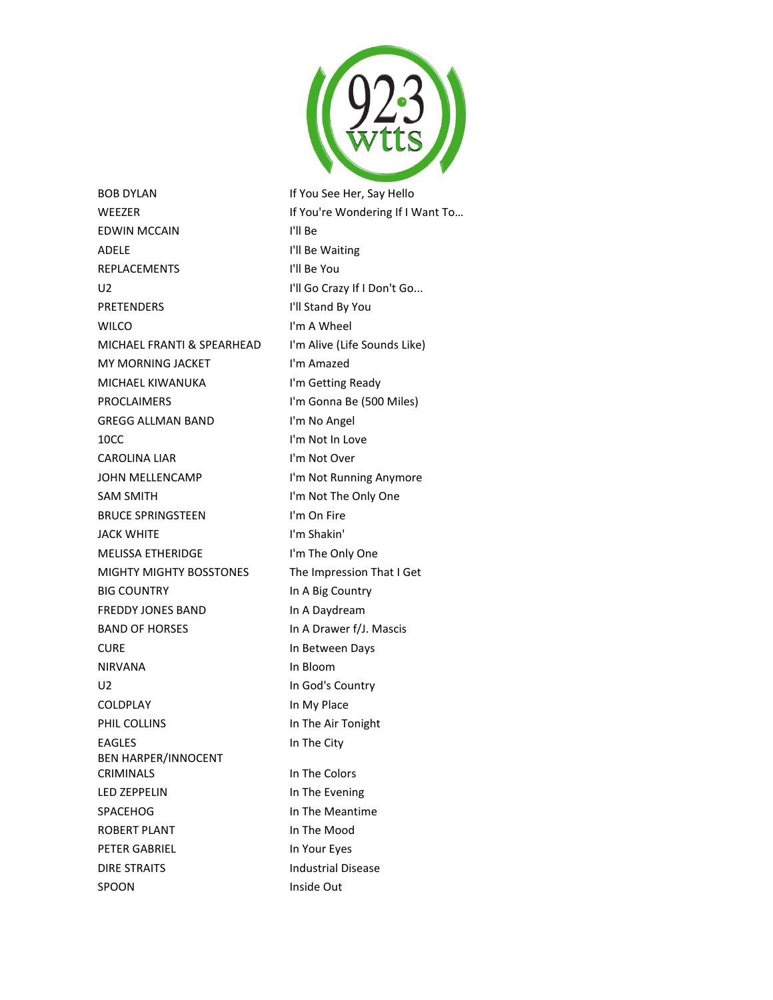

BOB DYLAN If You See Her, Say Hello WEEZER **If You're Wondering If I Want To...** EDWIN MCCAIN I'll Be ADELE I'll Be Waiting REPLACEMENTS I'll Be You U2 I'll Go Crazy If I Don't Go... PRETENDERS I'll Stand By You WILCO **I'm A Wheel** MICHAEL FRANTI & SPEARHEAD I'm Alive (Life Sounds Like) MY MORNING JACKET l'm Amazed MICHAEL KIWANUKA I'm Getting Ready PROCLAIMERS I'm Gonna Be (500 Miles) GREGG ALLMAN BAND I'm No Angel 10CC I'm Not In Love CAROLINA LIAR I'm Not Over JOHN MELLENCAMP I'm Not Running Anymore SAM SMITH I'm Not The Only One BRUCE SPRINGSTEEN I'm On Fire JACK WHITE I'm Shakin' MELISSA ETHERIDGE I'm The Only One MIGHTY MIGHTY BOSSTONES The Impression That I Get BIG COUNTRY **In A Big Country** FREDDY JONES BAND In A Daydream BAND OF HORSES In A Drawer f/J. Mascis CURE In Between Days NIRVANA In Bloom U2 In God's Country COLDPLAY **In My Place** PHIL COLLINS **In The Air Tonight** EAGLES In The City BEN HARPER/INNOCENT CRIMINALS In The Colors LED ZEPPELIN In The Evening SPACEHOG **In The Meantime** ROBERT PLANT IN The Mood PETER GABRIEL In Your Eyes DIRE STRAITS **Industrial Disease** SPOON Inside Out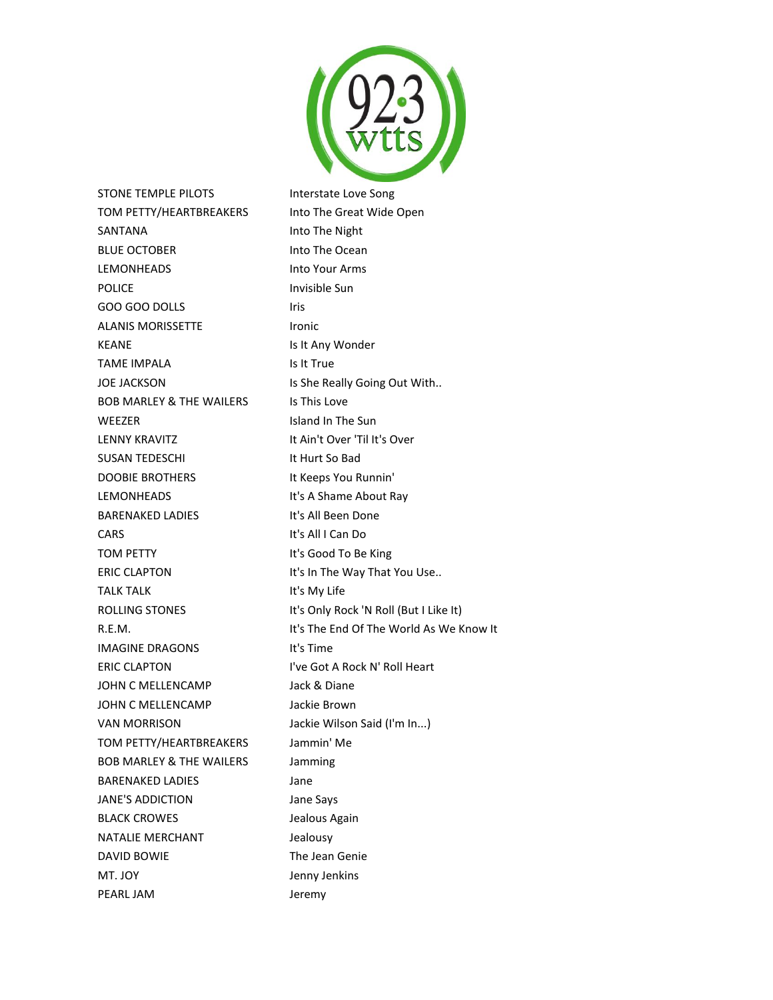

STONE TEMPLE PILOTS **Interstate Love Song** TOM PETTY/HEARTBREAKERS Into The Great Wide Open SANTANA Into The Night BLUE OCTOBER Into The Ocean LEMONHEADS Into Your Arms POLICE Invisible Sun GOO GOO DOLLS Iris ALANIS MORISSETTE lronic KEANE **Is It Any Wonder** TAME IMPALA Is It True JOE JACKSON IS She Really Going Out With.. BOB MARLEY & THE WAILERS IS This Love WEEZER Island In The Sun LENNY KRAVITZ **It Ain't Over 'Til It's Over** SUSAN TEDESCHI It Hurt So Bad DOOBIE BROTHERS It Keeps You Runnin' LEMONHEADS It's A Shame About Ray BARENAKED LADIES It's All Been Done CARS It's All I Can Do TOM PETTY **It's Good To Be King** ERIC CLAPTON It's In The Way That You Use.. TALK TALK It's My Life ROLLING STONES It's Only Rock 'N Roll (But I Like It) IMAGINE DRAGONS lt's Time ERIC CLAPTON I've Got A Rock N' Roll Heart JOHN C MELLENCAMP Jack & Diane JOHN C MELLENCAMP Jackie Brown VAN MORRISON Jackie Wilson Said (I'm In...) TOM PETTY/HEARTBREAKERS Jammin' Me BOB MARLEY & THE WAILERS Jamming BARENAKED LADIES Jane JANE'S ADDICTION Jane Says BLACK CROWES **SECURE 15 FOR A LICENS** Jealous Again NATALIE MERCHANT **State State Sealousy** DAVID BOWIE The Jean Genie MT. JOY **IMPLE 1999** Jenny Jenkins PEARL JAM Jeremy

R.E.M. It's The End Of The World As We Know It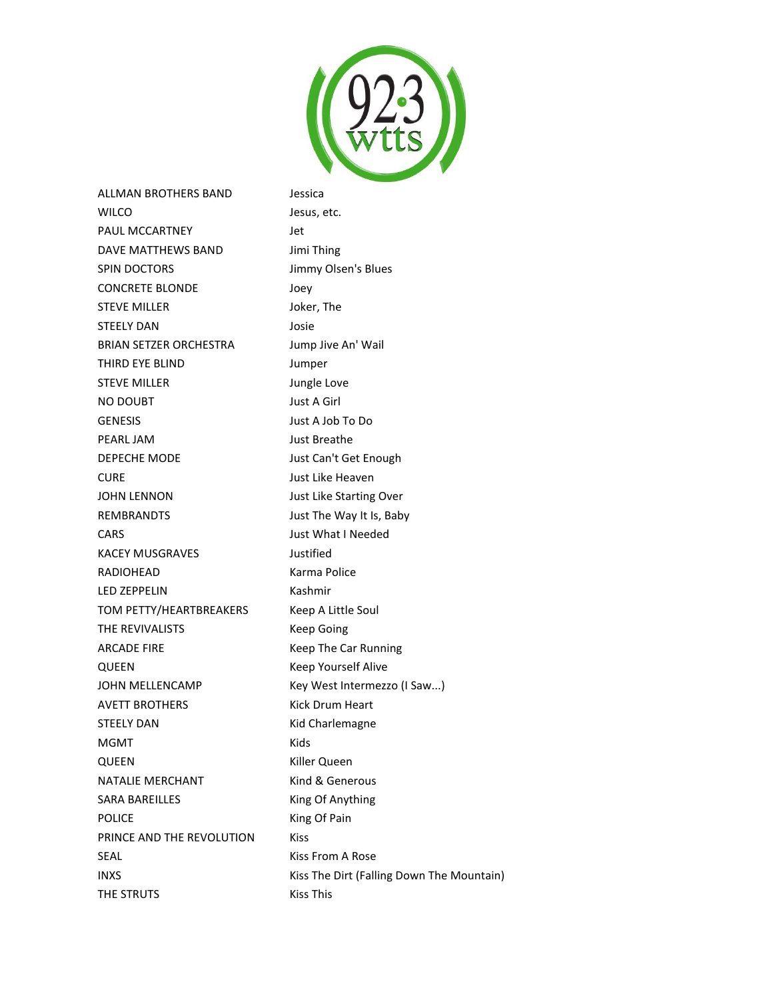

ALLMAN BROTHERS BAND Jessica WILCO Jesus, etc. PAUL MCCARTNEY **Set Let** DAVE MATTHEWS BAND Jimi Thing SPIN DOCTORS Jimmy Olsen's Blues CONCRETE BLONDE Joey STEVE MILLER Joker, The STEELY DAN Josie BRIAN SETZER ORCHESTRA Jump Jive An' Wail THIRD EYE BLIND Jumper STEVE MILLER Jungle Love NO DOUBT Just A Girl GENESIS Just A Job To Do PEARL JAM Just Breathe DEPECHE MODE Just Can't Get Enough CURE Just Like Heaven JOHN LENNON Just Like Starting Over REMBRANDTS Just The Way It Is, Baby CARS Just What I Needed KACEY MUSGRAVES **State State State State** Justified RADIOHEAD Karma Police LED ZEPPELIN Kashmir TOM PETTY/HEARTBREAKERS Keep A Little Soul THE REVIVALISTS Keep Going ARCADE FIRE Keep The Car Running QUEEN **Keep Yourself Alive** JOHN MELLENCAMP Key West Intermezzo (I Saw...) AVETT BROTHERS Kick Drum Heart STEELY DAN Kid Charlemagne MGMT Kids QUEEN Killer Queen NATALIE MERCHANT Kind & Generous SARA BAREILLES King Of Anything POLICE **King Of Pain** PRINCE AND THE REVOLUTION Kiss SEAL SEAL Kiss From A Rose INXS **INXS** Kiss The Dirt (Falling Down The Mountain) THE STRUTS Kiss This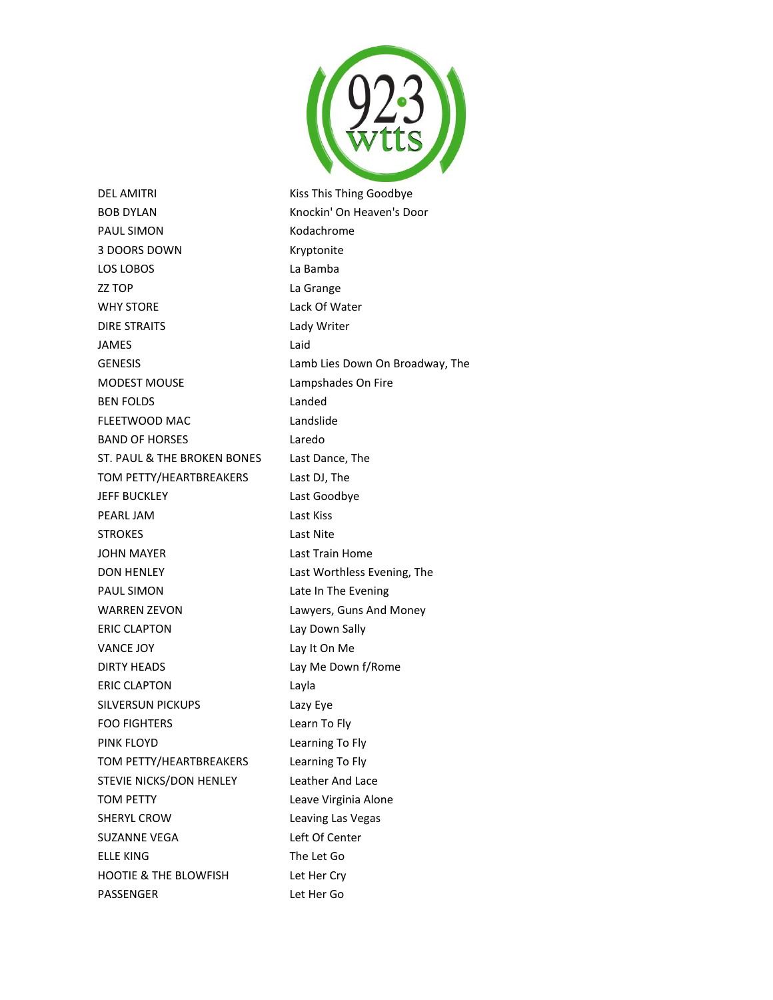

DEL AMITRI **NAMITRI** Kiss This Thing Goodbye BOB DYLAN Knockin' On Heaven's Door PAUL SIMON Kodachrome 3 DOORS DOWN Kryptonite LOS LOBOS LA Bamba ZZ TOP La Grange WHY STORE Lack Of Water DIRE STRAITS Lady Writer JAMES Laid GENESIS Lamb Lies Down On Broadway, The MODEST MOUSE Lampshades On Fire BEN FOLDS Landed FLEETWOOD MAC Landslide BAND OF HORSES Laredo ST. PAUL & THE BROKEN BONES Last Dance, The TOM PETTY/HEARTBREAKERS Last DJ, The JEFF BUCKLEY Last Goodbye PEARL JAM Last Kiss STROKES Last Nite JOHN MAYER Last Train Home DON HENLEY Last Worthless Evening, The PAUL SIMON Late In The Evening WARREN ZEVON Lawyers, Guns And Money ERIC CLAPTON Lay Down Sally VANCE JOY Lay It On Me DIRTY HEADS Lay Me Down f/Rome ERIC CLAPTON Layla SILVERSUN PICKUPS Lazy Eye FOO FIGHTERS Learn To Fly PINK FLOYD **Learning To Fly** TOM PETTY/HEARTBREAKERS Learning To Fly STEVIE NICKS/DON HENLEY Leather And Lace TOM PETTY Leave Virginia Alone SHERYL CROW Leaving Las Vegas SUZANNE VEGA Left Of Center ELLE KING The Let Go HOOTIE & THE BLOWFISH Let Her Cry

PASSENGER Let Her Go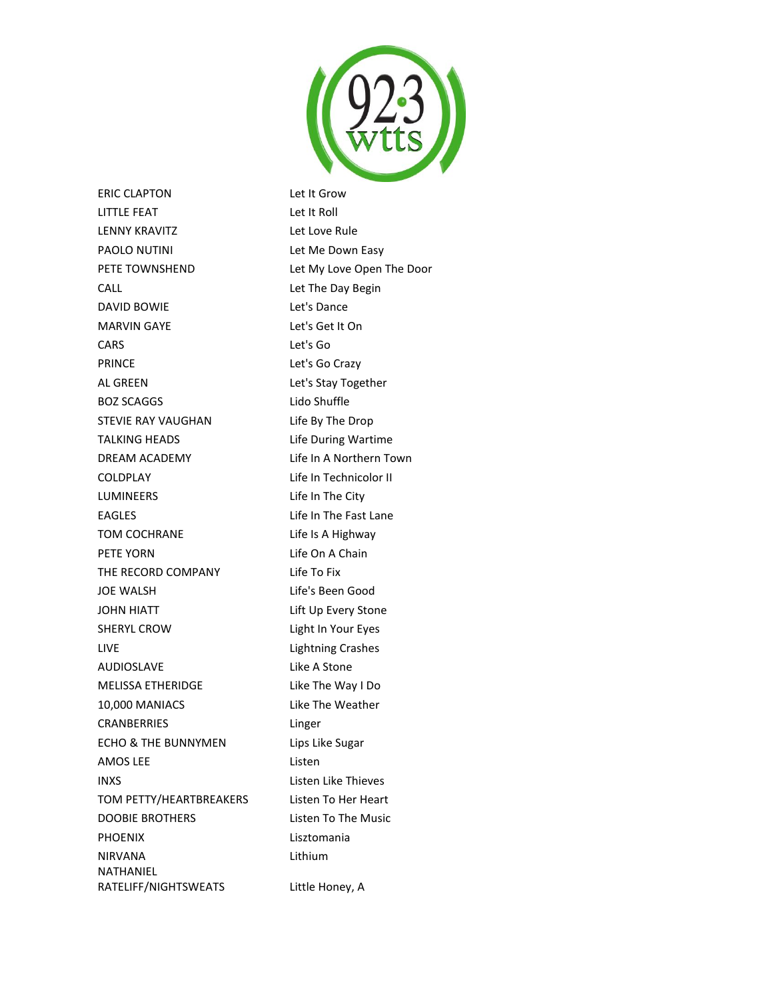

ERIC CLAPTON Let It Grow LITTLE FEAT Let It Roll LENNY KRAVITZ Let Love Rule PAOLO NUTINI Let Me Down Easy PETE TOWNSHEND Let My Love Open The Door CALL Let The Day Begin DAVID BOWIE Let's Dance MARVIN GAYE Let's Get It On CARS Let's Go PRINCE Let's Go Crazy AL GREEN Let's Stay Together BOZ SCAGGS Lido Shuffle STEVIE RAY VAUGHAN Life By The Drop TALKING HEADS Life During Wartime DREAM ACADEMY Life In A Northern Town COLDPLAY Life In Technicolor II LUMINEERS Life In The City EAGLES Life In The Fast Lane TOM COCHRANE Life Is A Highway PETE YORN Life On A Chain THE RECORD COMPANY Life To Fix JOE WALSH Life's Been Good JOHN HIATT Lift Up Every Stone SHERYL CROW Light In Your Eyes LIVE Lightning Crashes AUDIOSLAVE Like A Stone MELISSA ETHERIDGE Like The Way I Do 10,000 MANIACS Like The Weather CRANBERRIES Linger ECHO & THE BUNNYMEN Lips Like Sugar AMOS LEE Listen INXS Listen Like Thieves TOM PETTY/HEARTBREAKERS Listen To Her Heart DOOBIE BROTHERS Listen To The Music PHOENIX Lisztomania NIRVANA Lithium NATHANIEL RATELIFF/NIGHTSWEATS Little Honey, A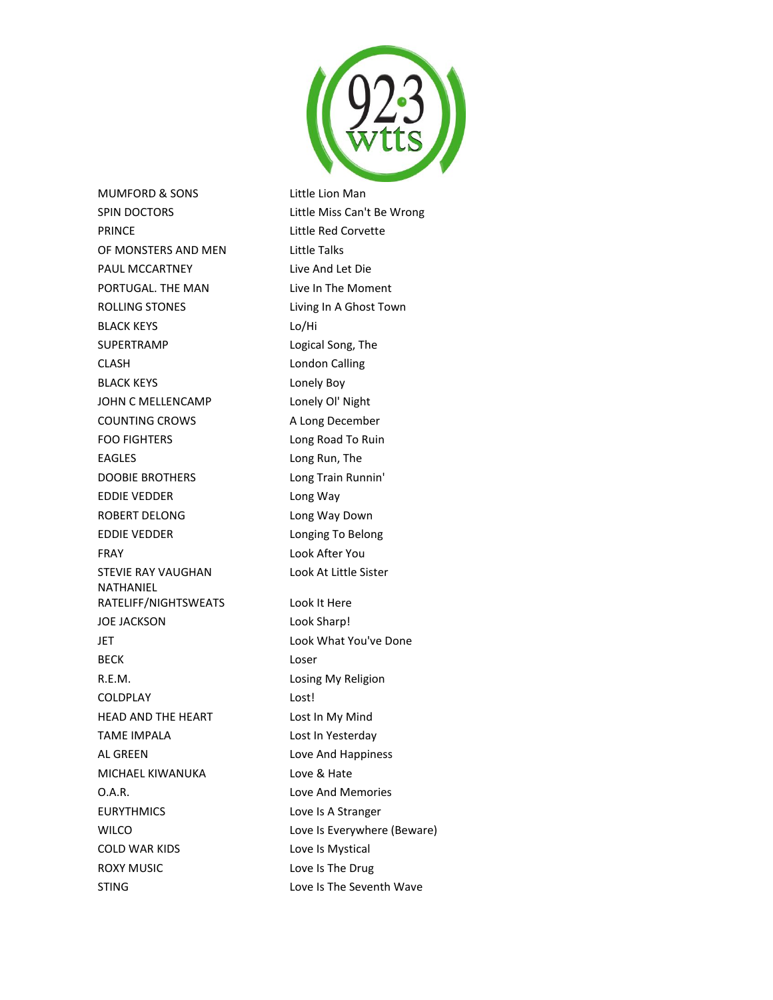

MUMFORD & SONS Little Lion Man SPIN DOCTORS Little Miss Can't Be Wrong PRINCE Little Red Corvette OF MONSTERS AND MEN Little Talks PAUL MCCARTNEY Live And Let Die PORTUGAL. THE MAN Live In The Moment ROLLING STONES Living In A Ghost Town BLACK KEYS Lo/Hi SUPERTRAMP Logical Song, The CLASH London Calling BLACK KEYS Lonely Boy JOHN C MELLENCAMP Lonely OI' Night COUNTING CROWS A Long December FOO FIGHTERS Long Road To Ruin EAGLES Long Run, The DOOBIE BROTHERS Long Train Runnin' EDDIE VEDDER Long Way ROBERT DELONG Long Way Down EDDIE VEDDER Longing To Belong FRAY Look After You STEVIE RAY VAUGHAN Look At Little Sister NATHANIEL RATELIFF/NIGHTSWEATS Look It Here JOE JACKSON Look Sharp! JET Look What You've Done BECK Loser R.E.M. Losing My Religion COLDPLAY Lost! HEAD AND THE HEART Lost In My Mind TAME IMPALA Lost In Yesterday AL GREEN Love And Happiness MICHAEL KIWANUKA Love & Hate O.A.R. Love And Memories EURYTHMICS Love Is A Stranger WILCO **Love Is Everywhere (Beware)** COLD WAR KIDS Love Is Mystical ROXY MUSIC **Love Is The Drug** 

STING Love Is The Seventh Wave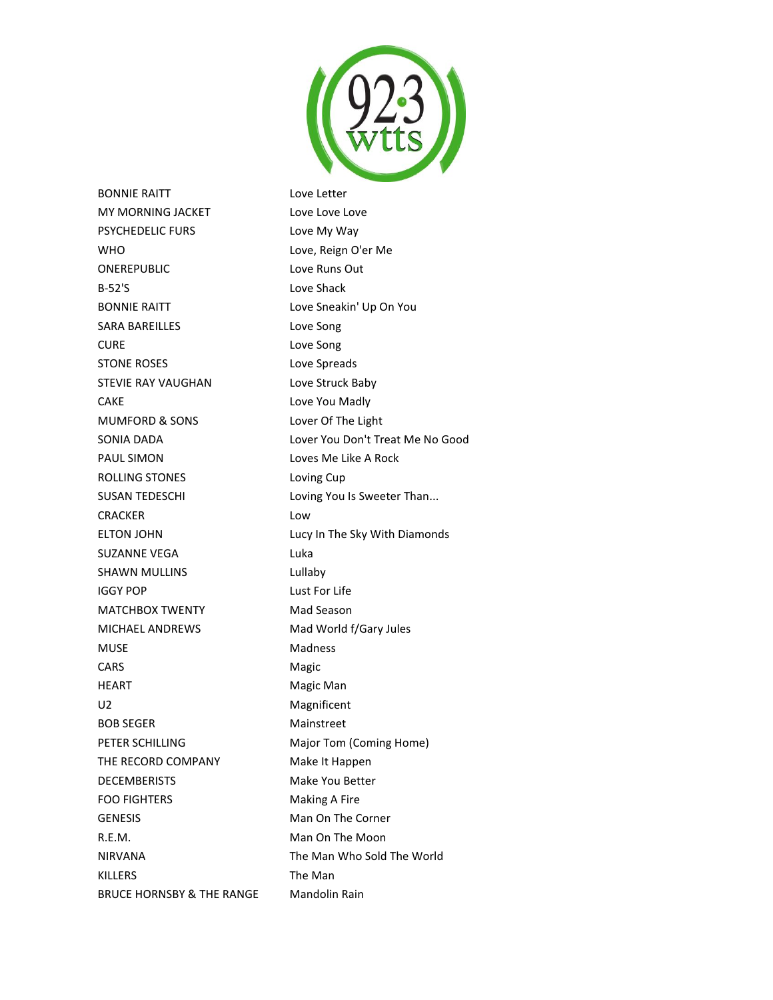

BONNIE RAITT Love Letter MY MORNING JACKET Love Love Love Love PSYCHEDELIC FURS Love My Way WHO Love, Reign O'er Me ONEREPUBLIC Love Runs Out B-52'S Love Shack BONNIE RAITT Love Sneakin' Up On You SARA BAREILLES Love Song CURE Love Song STONE ROSES Love Spreads STEVIE RAY VAUGHAN Love Struck Baby CAKE Love You Madly MUMFORD & SONS Lover Of The Light SONIA DADA Lover You Don't Treat Me No Good PAUL SIMON Loves Me Like A Rock ROLLING STONES Loving Cup SUSAN TEDESCHI Loving You Is Sweeter Than... CRACKER Low ELTON JOHN Lucy In The Sky With Diamonds SUZANNE VEGA Luka SHAWN MULLINS **Lullaby** IGGY POP Lust For Life MATCHBOX TWENTY Mad Season MICHAEL ANDREWS Mad World f/Gary Jules MUSE Madness CARS Magic HEART **Magic Man** U2 Magnificent BOB SEGER Mainstreet PETER SCHILLING Major Tom (Coming Home) THE RECORD COMPANY Make It Happen DECEMBERISTS Make You Better FOO FIGHTERS Making A Fire GENESIS Man On The Corner R.E.M. **Man On The Moon** NIRVANA The Man Who Sold The World KILLERS The Man BRUCE HORNSBY & THE RANGE Mandolin Rain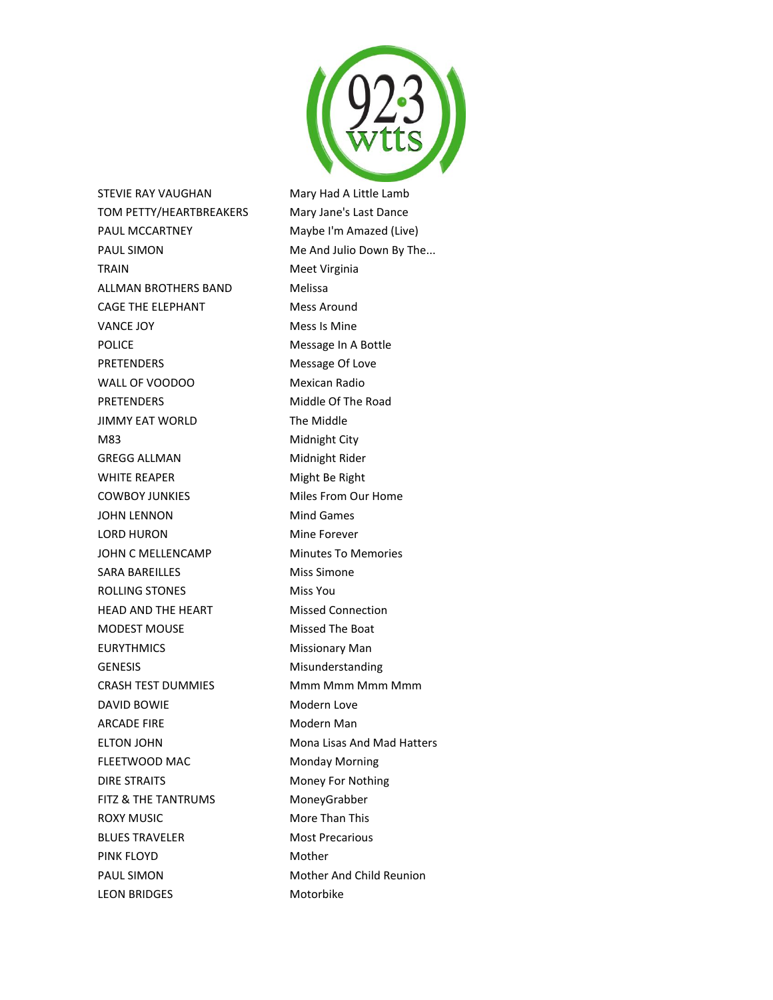

STEVIE RAY VAUGHAN Mary Had A Little Lamb TOM PETTY/HEARTBREAKERS Mary Jane's Last Dance PAUL MCCARTNEY Maybe I'm Amazed (Live) PAUL SIMON Me And Julio Down By The... TRAIN Meet Virginia ALLMAN BROTHERS BAND Melissa CAGE THE ELEPHANT Mess Around VANCE JOY Mess Is Mine POLICE Message In A Bottle PRETENDERS Message Of Love WALL OF VOODOO Mexican Radio PRETENDERS Middle Of The Road JIMMY EAT WORLD The Middle M83 Midnight City GREGG ALLMAN Midnight Rider WHITE REAPER Might Be Right COWBOY JUNKIES Miles From Our Home JOHN LENNON Mind Games LORD HURON Mine Forever JOHN C MELLENCAMP Minutes To Memories SARA BAREILLES Miss Simone ROLLING STONES Miss You HEAD AND THE HEART Missed Connection MODEST MOUSE Missed The Boat EURYTHMICS Missionary Man GENESIS Misunderstanding CRASH TEST DUMMIES Mmm Mmm Mmm Mmm DAVID BOWIE Modern Love ARCADE FIRE Modern Man ELTON JOHN Mona Lisas And Mad Hatters FLEETWOOD MAC Monday Morning DIRE STRAITS Money For Nothing FITZ & THE TANTRUMS MoneyGrabber ROXY MUSIC More Than This BLUES TRAVELER Most Precarious PINK FLOYD Mother PAUL SIMON Mother And Child Reunion

LEON BRIDGES Motorbike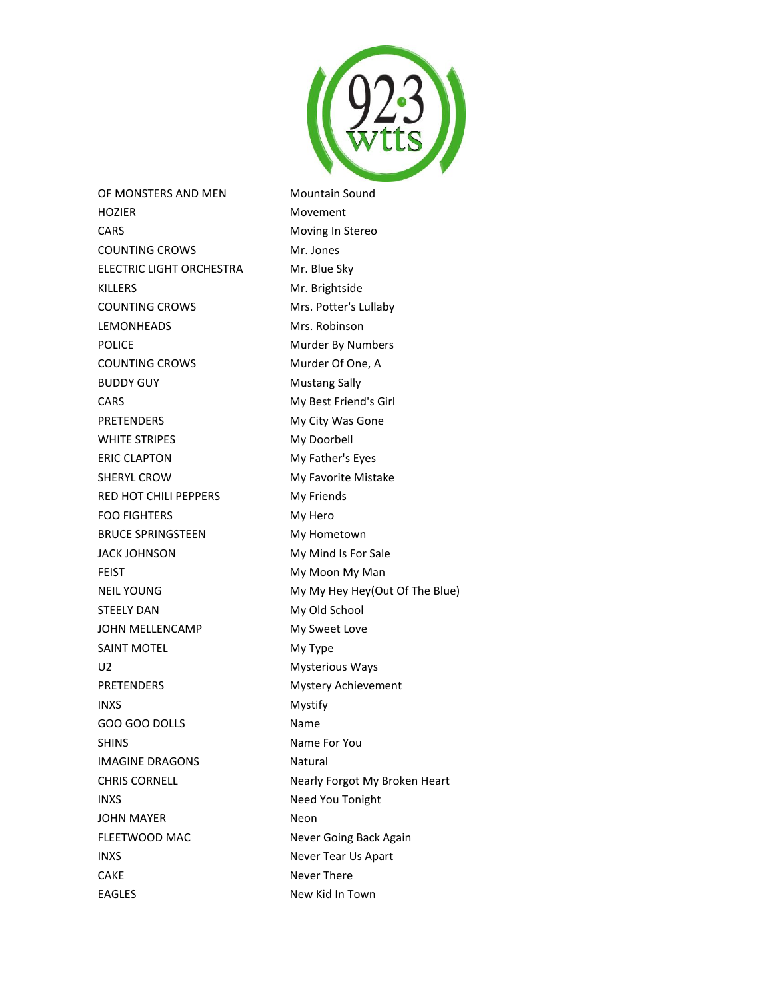

OF MONSTERS AND MEN Mountain Sound HOZIER Movement CARS Moving In Stereo COUNTING CROWS Mr. Jones ELECTRIC LIGHT ORCHESTRA Mr. Blue Sky KILLERS Mr. Brightside COUNTING CROWS Mrs. Potter's Lullaby LEMONHEADS Mrs. Robinson POLICE Murder By Numbers COUNTING CROWS Murder Of One, A BUDDY GUY **Mustang Sally** CARS My Best Friend's Girl PRETENDERS My City Was Gone WHITE STRIPES My Doorbell ERIC CLAPTON My Father's Eyes SHERYL CROW My Favorite Mistake RED HOT CHILI PEPPERS My Friends FOO FIGHTERS My Hero BRUCE SPRINGSTEEN My Hometown JACK JOHNSON My Mind Is For Sale FEIST **My Moon My Man** NEIL YOUNG My My My Hey Hey(Out Of The Blue) STEELY DAN My Old School JOHN MELLENCAMP My Sweet Love SAINT MOTEL **My Type** U2 Mysterious Ways PRETENDERS Mystery Achievement INXS Mystify GOO GOO DOLLS Name SHINS Name For You IMAGINE DRAGONS Natural CHRIS CORNELL **Nearly Forgot My Broken Heart** INXS Need You Tonight JOHN MAYER Neon FLEETWOOD MAC Never Going Back Again INXS Never Tear Us Apart CAKE Never There

EAGLES New Kid In Town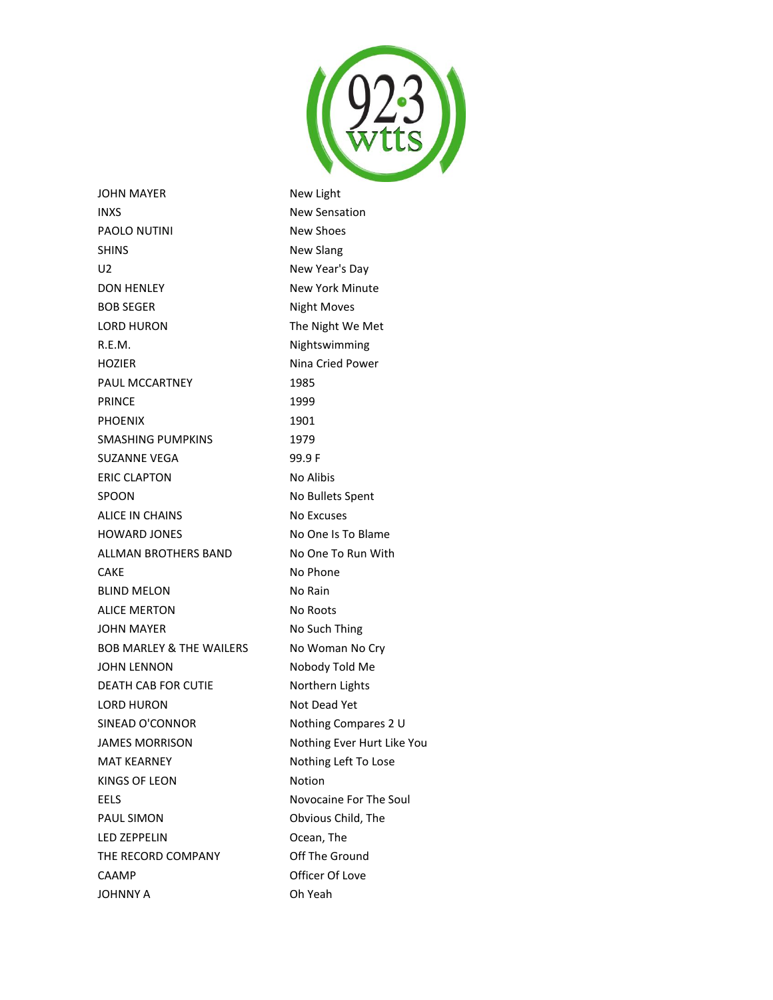

JOHN MAYER New Light INXS New Sensation PAOLO NUTINI New Shoes SHINS New Slang U2 New Year's Day DON HENLEY New York Minute BOB SEGER Night Moves LORD HURON The Night We Met R.E.M. **Nightswimming** HOZIER Nina Cried Power PAUL MCCARTNEY 1985 PRINCE 1999 PHOENIX 1901 SMASHING PUMPKINS 1979 SUZANNE VEGA 99.9 F ERIC CLAPTON No Alibis SPOON No Bullets Spent ALICE IN CHAINS No Excuses HOWARD JONES No One Is To Blame ALLMAN BROTHERS BAND No One To Run With CAKE No Phone BLIND MELON No Rain ALICE MERTON No Roots JOHN MAYER No Such Thing BOB MARLEY & THE WAILERS No Woman No Cry JOHN LENNON Nobody Told Me DEATH CAB FOR CUTIE Northern Lights LORD HURON Not Dead Yet SINEAD O'CONNOR Nothing Compares 2 U JAMES MORRISON Nothing Ever Hurt Like You MAT KEARNEY Nothing Left To Lose KINGS OF LEON Notion EELS Novocaine For The Soul PAUL SIMON Obvious Child, The LED ZEPPELIN Ocean, The THE RECORD COMPANY **Off The Ground** CAAMP Officer Of Love JOHNNY A Oh Yeah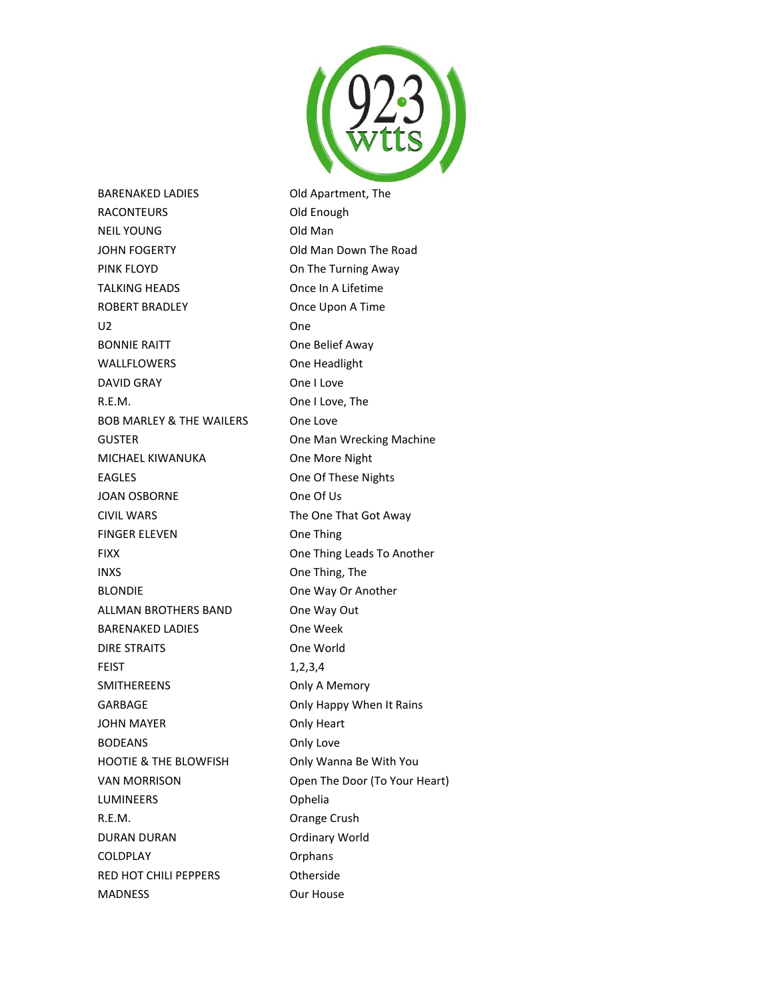

BARENAKED LADIES Old Apartment, The RACONTEURS **Old Enough** NEIL YOUNG **Old Man** JOHN FOGERTY **Old Man Down The Road** PINK FLOYD **CONSISTENT** On The Turning Away TALKING HEADS Once In A Lifetime ROBERT BRADLEY **Once Upon A Time** U2 One BONNIE RAITT **ONE BELIEF AWAY** WALLFLOWERS One Headlight DAVID GRAY **One I Love** R.E.M. One I Love, The BOB MARLEY & THE WAILERS One Love GUSTER **GUSTER CHANGING CONSTRUSTER One Man Wrecking Machine** MICHAEL KIWANUKA One More Night EAGLES **CALLES CALLES CALLES CALLES CALLES CALLES CALLES CALLES CALLES CALLES CALLES CALLES** JOAN OSBORNE One Of Us CIVIL WARS The One That Got Away FINGER ELEVEN One Thing FIXX One Thing Leads To Another INXS One Thing, The BLONDIE **DESIGNATION** One Way Or Another ALLMAN BROTHERS BAND One Way Out BARENAKED LADIES One Week DIRE STRAITS One World FEIST 1,2,3,4 SMITHEREENS **Only A Memory** GARBAGE **CARBAGE Only Happy When It Rains** JOHN MAYER **Only Heart** BODEANS Only Love HOOTIE & THE BLOWFISH Only Wanna Be With You VAN MORRISON Open The Door (To Your Heart) LUMINEERS Ophelia R.E.M. Orange Crush DURAN DURAN **Ordinary World** COLDPLAY **Orphans** RED HOT CHILI PEPPERS Otherside MADNESS Our House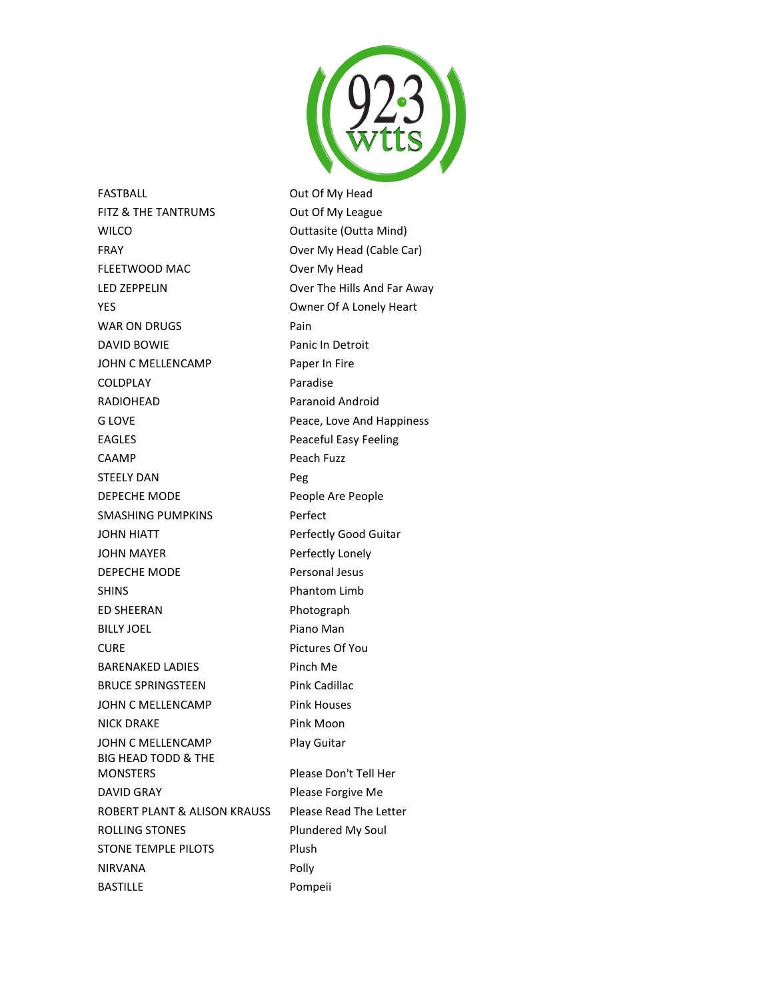

FASTBALL **DEALL** Out Of My Head FITZ & THE TANTRUMS Out Of My League WILCO **Outtasite (Outta Mind)** FRAY **CONFIDENTIAL CONTRACT CONTRACT CONTRACT CONTRACT CONTRACT CONTRACT CONTRACT CONTRACT CONTRACT CONTRACT CONTRACT CONTRACT CONTRACT CONTRACT CONTRACT CONTRACT CONTRACT CONTRACT CONTRACT CONTRACT CONTRACT CONTRACT CONTR** FLEETWOOD MAC Over My Head LED ZEPPELIN Over The Hills And Far Away YES Owner Of A Lonely Heart WAR ON DRUGS Pain DAVID BOWIE Panic In Detroit JOHN C MELLENCAMP Paper In Fire COLDPLAY Paradise RADIOHEAD Paranoid Android G LOVE **COVE 2008** Peace, Love And Happiness EAGLES **Peaceful Easy Feeling** CAAMP Peach Fuzz STEELY DAN Peg DEPECHE MODE People Are People SMASHING PUMPKINS Perfect JOHN HIATT Perfectly Good Guitar JOHN MAYER Perfectly Lonely DEPECHE MODE Personal Jesus SHINS Phantom Limb ED SHEERAN Photograph BILLY JOEL Piano Man CURE **Pictures Of You** BARENAKED LADIES Pinch Me BRUCE SPRINGSTEEN Pink Cadillac JOHN C MELLENCAMP Pink Houses NICK DRAKE Pink Moon JOHN C MELLENCAMP Play Guitar BIG HEAD TODD & THE MONSTERS Please Don't Tell Her DAVID GRAY **Please Forgive Me** ROBERT PLANT & ALISON KRAUSS Please Read The Letter ROLLING STONES Plundered My Soul STONE TEMPLE PILOTS Plush NIRVANA Polly BASTILLE Pompeii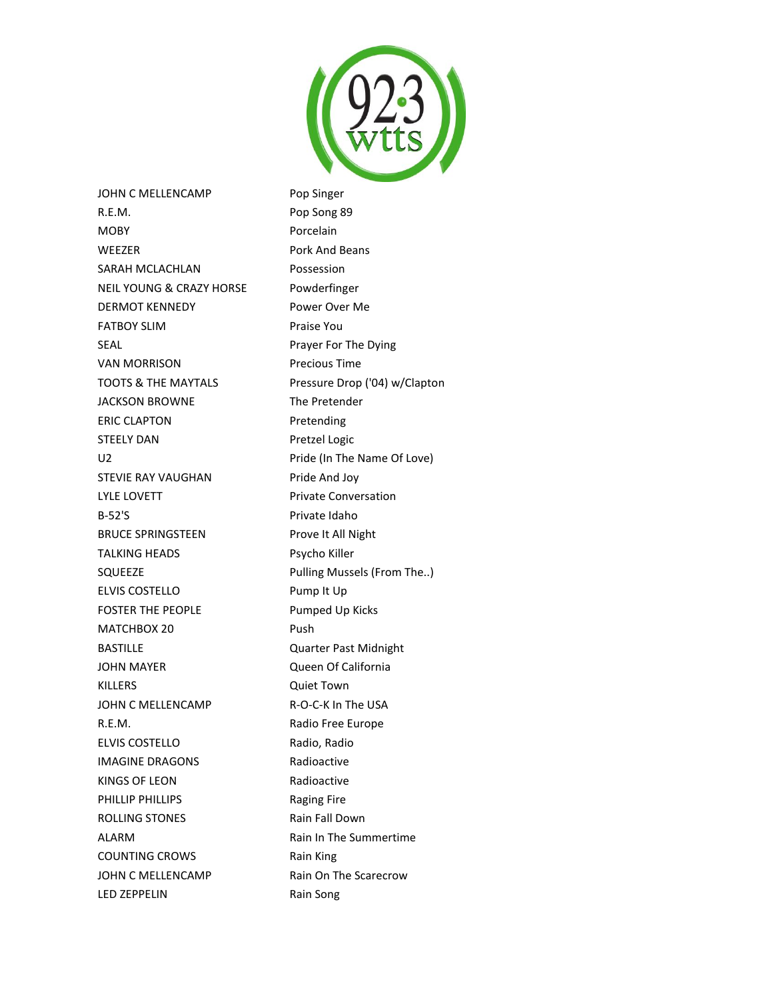

JOHN C MELLENCAMP Pop Singer R.E.M. Pop Song 89 MOBY Porcelain WEEZER Pork And Beans SARAH MCLACHLAN Possession NEIL YOUNG & CRAZY HORSE Powderfinger DERMOT KENNEDY Power Over Me FATBOY SLIM Praise You SEAL **Prayer For The Dying** VAN MORRISON Precious Time TOOTS & THE MAYTALS Pressure Drop ('04) w/Clapton JACKSON BROWNE The Pretender ERIC CLAPTON Pretending STEELY DAN Pretzel Logic U2 **Pride (In The Name Of Love)** STEVIE RAY VAUGHAN Pride And Joy LYLE LOVETT Private Conversation B-52'S Private Idaho BRUCE SPRINGSTEEN Prove It All Night TALKING HEADS Psycho Killer SQUEEZE Pulling Mussels (From The..) ELVIS COSTELLO Pump It Up FOSTER THE PEOPLE Pumped Up Kicks MATCHBOX 20 Push BASTILLE Quarter Past Midnight JOHN MAYER Queen Of California KILLERS Quiet Town JOHN C MELLENCAMP R-O-C-K In The USA R.E.M. Radio Free Europe ELVIS COSTELLO Radio, Radio IMAGINE DRAGONS Radioactive KINGS OF LEON Radioactive PHILLIP PHILLIPS Raging Fire ROLLING STONES Rain Fall Down ALARM Rain In The Summertime COUNTING CROWS Rain King JOHN C MELLENCAMP Rain On The Scarecrow LED ZEPPELIN Rain Song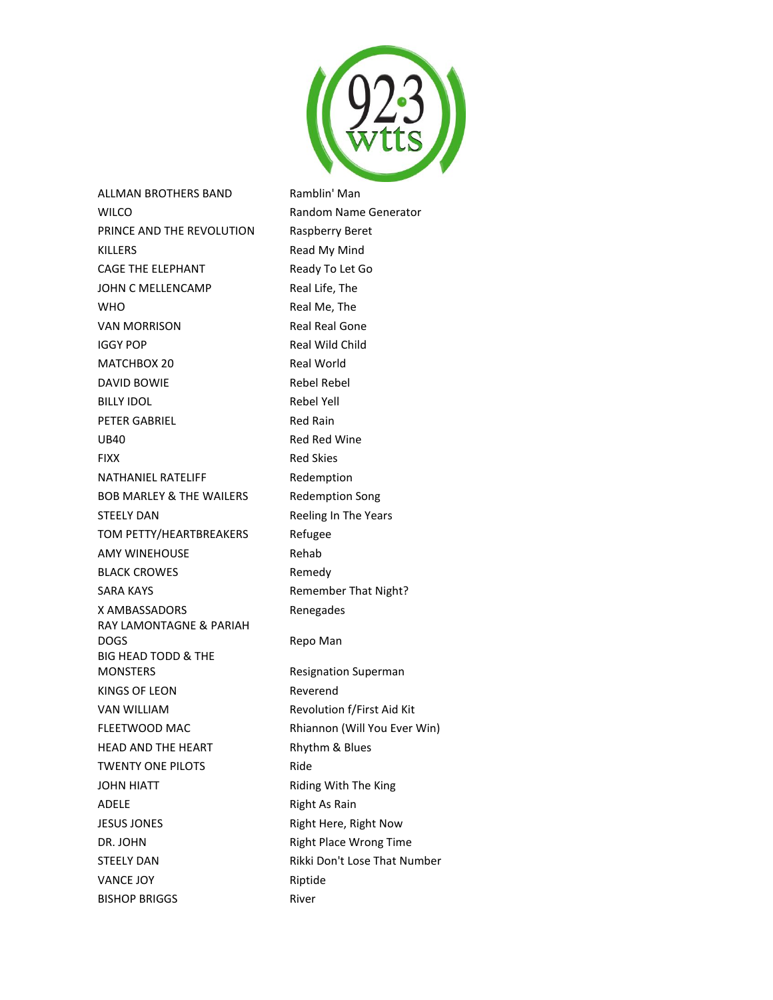

ALLMAN BROTHERS BAND Ramblin' Man WILCO **Random Name Generator** Random Name Generator PRINCE AND THE REVOLUTION Raspberry Beret KILLERS Read My Mind CAGE THE ELEPHANT Ready To Let Go JOHN C MELLENCAMP Real Life, The WHO Real Me, The VAN MORRISON Real Real Gone IGGY POP Real Wild Child MATCHBOX 20 Real World DAVID BOWIE Rebel Rebel BILLY IDOL Rebel Yell PETER GABRIEL Red Rain UB40 Red Red Wine FIXX Red Skies NATHANIEL RATELIFF Redemption BOB MARLEY & THE WAILERS Redemption Song STEELY DAN Reeling In The Years TOM PETTY/HEARTBREAKERS Refugee AMY WINEHOUSE Rehab BLACK CROWES Remedy SARA KAYS **Remember That Night?** Remember That Night? X AMBASSADORS Renegades RAY LAMONTAGNE & PARIAH DOGS Repo Man BIG HEAD TODD & THE MONSTERS Resignation Superman KINGS OF LEON Reverend VAN WILLIAM Revolution f/First Aid Kit FLEETWOOD MAC Rhiannon (Will You Ever Win) HEAD AND THE HEART Rhythm & Blues TWENTY ONE PILOTS Ride JOHN HIATT **Riding With The King** ADELE Right As Rain JESUS JONES **Right Here, Right Now** DR. JOHN Right Place Wrong Time STEELY DAN Rikki Don't Lose That Number VANCE JOY Riptide BISHOP BRIGGS River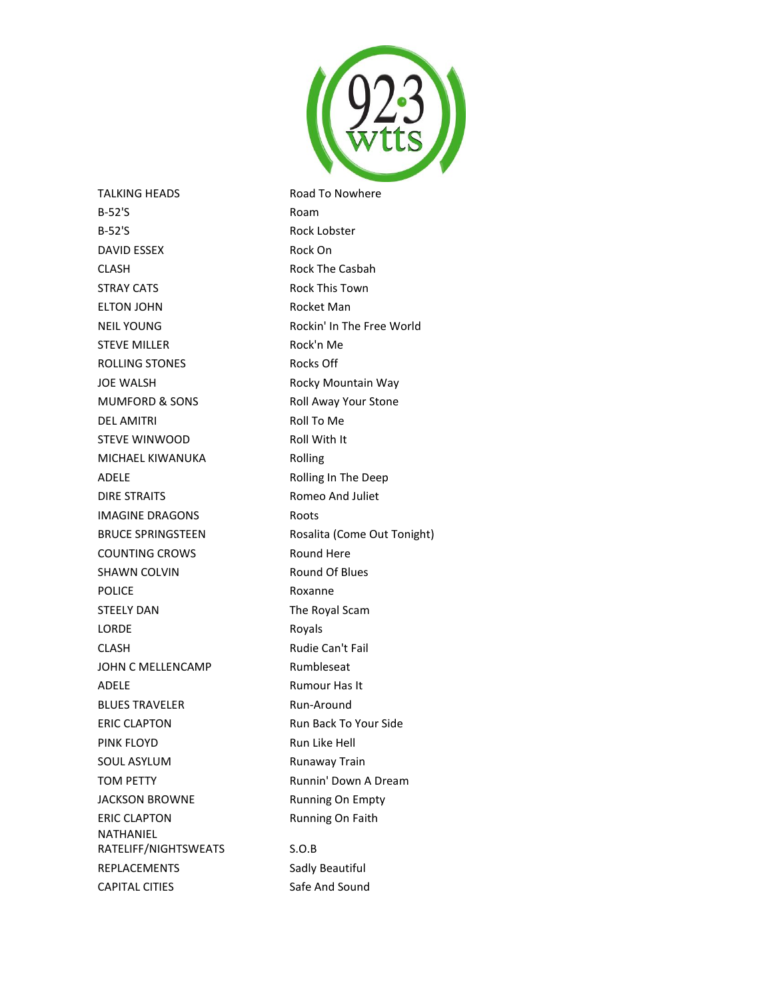

TALKING HEADS Road To Nowhere B-52'S Roam B-52'S Rock Lobster DAVID ESSEX Rock On CLASH Rock The Casbah STRAY CATS **Rock This Town** ELTON JOHN Rocket Man NEIL YOUNG Rockin' In The Free World STEVE MILLER Rock'n Me ROLLING STONES ROCks Off JOE WALSH **Rocky Mountain Way** MUMFORD & SONS Roll Away Your Stone DEL AMITRI ROLL TO Me STEVE WINWOOD Roll With It MICHAEL KIWANUKA Rolling ADELE **ADELE Rolling In The Deep** DIRE STRAITS Romeo And Juliet IMAGINE DRAGONS Roots COUNTING CROWS Round Here SHAWN COLVIN Round Of Blues POLICE Roxanne STEELY DAN The Royal Scam LORDE Royals CLASH Rudie Can't Fail JOHN C MELLENCAMP Rumbleseat ADELE Rumour Has It BLUES TRAVELER Run-Around ERIC CLAPTON Run Back To Your Side PINK FLOYD Run Like Hell SOUL ASYLUM Runaway Train TOM PETTY **Runnin' Down A Dream** JACKSON BROWNE Running On Empty ERIC CLAPTON Running On Faith NATHANIEL RATELIFF/NIGHTSWEATS S.O.B REPLACEMENTS Sadly Beautiful CAPITAL CITIES Safe And Sound

BRUCE SPRINGSTEEN Rosalita (Come Out Tonight)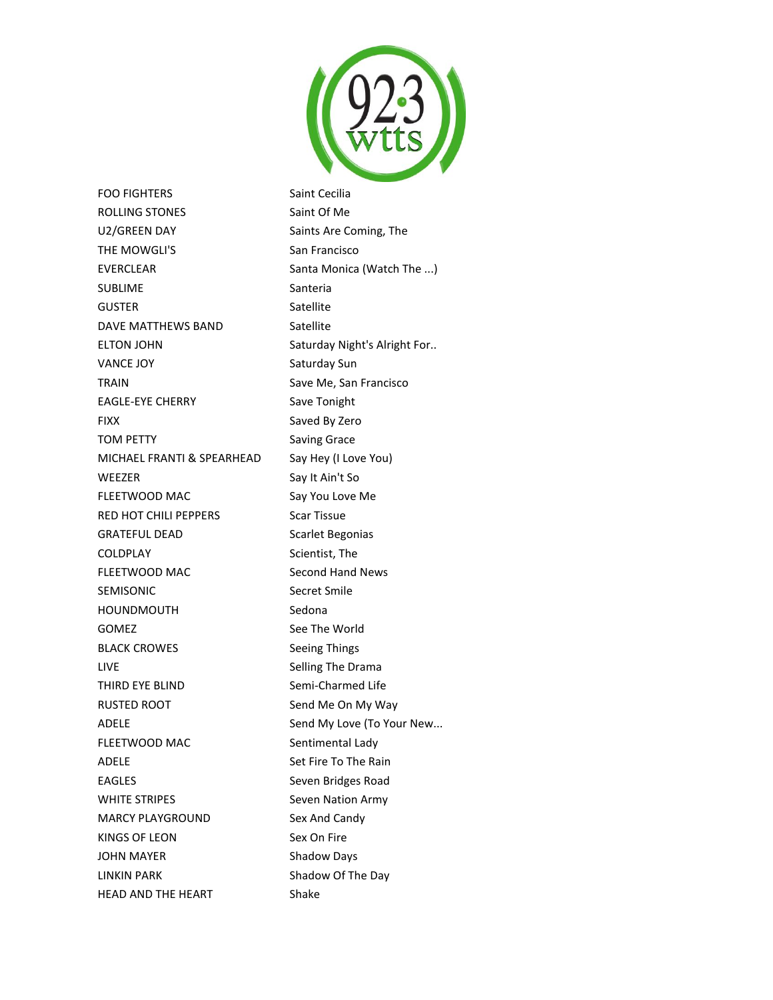

FOO FIGHTERS Saint Cecilia ROLLING STONES Saint Of Me U2/GREEN DAY Saints Are Coming, The THE MOWGLI'S San Francisco EVERCLEAR Santa Monica (Watch The ...) SUBLIME SANTER SANTERIA GUSTER Satellite DAVE MATTHEWS BAND Satellite ELTON JOHN Saturday Night's Alright For.. VANCE JOY Saturday Sun TRAIN **Save Me, San Francisco** EAGLE-EYE CHERRY Save Tonight FIXX Saved By Zero TOM PETTY Saving Grace MICHAEL FRANTI & SPEARHEAD Say Hey (I Love You) WEEZER Say It Ain't So FLEETWOOD MAC Say You Love Me RED HOT CHILI PEPPERS Scar Tissue GRATEFUL DEAD Scarlet Begonias COLDPLAY Scientist, The FLEETWOOD MAC Second Hand News SEMISONIC Secret Smile HOUNDMOUTH Sedona GOMEZ See The World BLACK CROWES Seeing Things LIVE **Selling The Drama** THIRD EYE BLIND Semi-Charmed Life RUSTED ROOT Send Me On My Way ADELE ADELE Send My Love (To Your New... FLEETWOOD MAC Sentimental Lady ADELE Set Fire To The Rain EAGLES Seven Bridges Road WHITE STRIPES Seven Nation Army MARCY PLAYGROUND Sex And Candy KINGS OF LEON Sex On Fire JOHN MAYER Shadow Days LINKIN PARK Shadow Of The Day

HEAD AND THE HEART Shake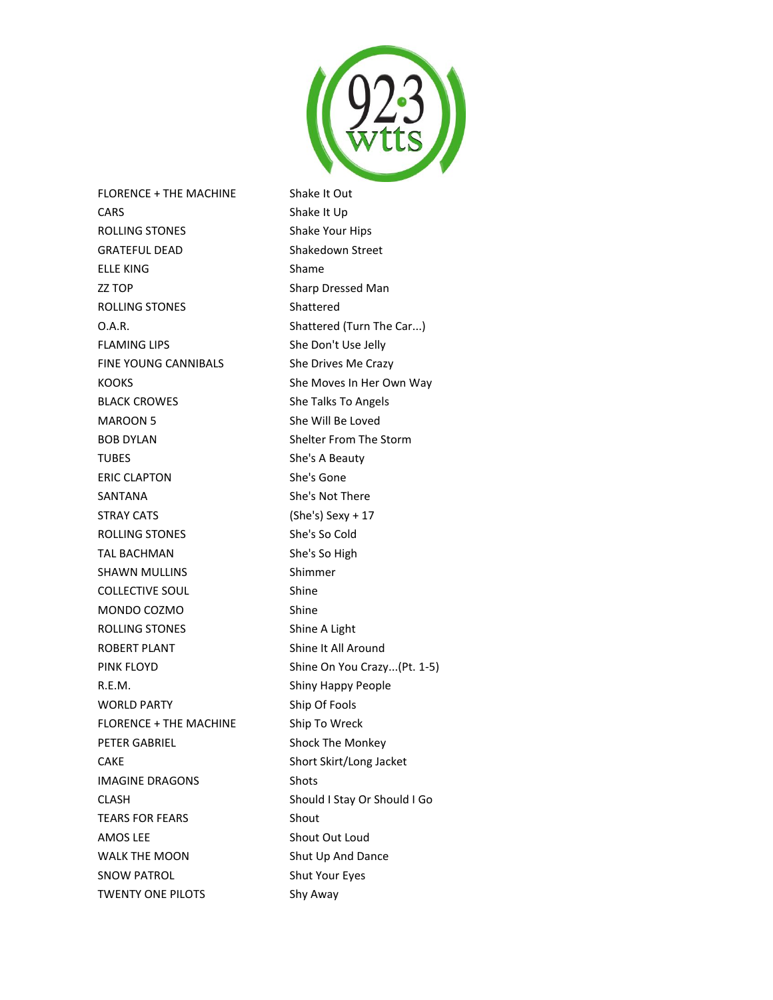

FLORENCE + THE MACHINE Shake It Out CARS Shake It Up ROLLING STONES Shake Your Hips GRATEFUL DEAD Shakedown Street ELLE KING Shame ZZ TOP Sharp Dressed Man ROLLING STONES Shattered O.A.R. Shattered (Turn The Car...) FLAMING LIPS She Don't Use Jelly FINE YOUNG CANNIBALS She Drives Me Crazy KOOKS She Moves In Her Own Way BLACK CROWES She Talks To Angels MAROON 5 She Will Be Loved BOB DYLAN Shelter From The Storm TUBES She's A Beauty ERIC CLAPTON She's Gone SANTANA She's Not There STRAY CATS (She's) Sexy + 17 ROLLING STONES She's So Cold TAL BACHMAN She's So High SHAWN MULLINS Shimmer COLLECTIVE SOUL Shine MONDO COZMO Shine ROLLING STONES Shine A Light ROBERT PLANT Shine It All Around PINK FLOYD Shine On You Crazy...(Pt. 1-5) R.E.M. Shiny Happy People WORLD PARTY Ship Of Fools FLORENCE + THE MACHINE Ship To Wreck PETER GABRIEL Shock The Monkey CAKE Short Skirt/Long Jacket IMAGINE DRAGONS Shots CLASH Should I Stay Or Should I Go TEARS FOR FEARS Shout AMOS LEE Shout Out Loud WALK THE MOON Shut Up And Dance SNOW PATROL Shut Your Eyes TWENTY ONE PILOTS Shy Away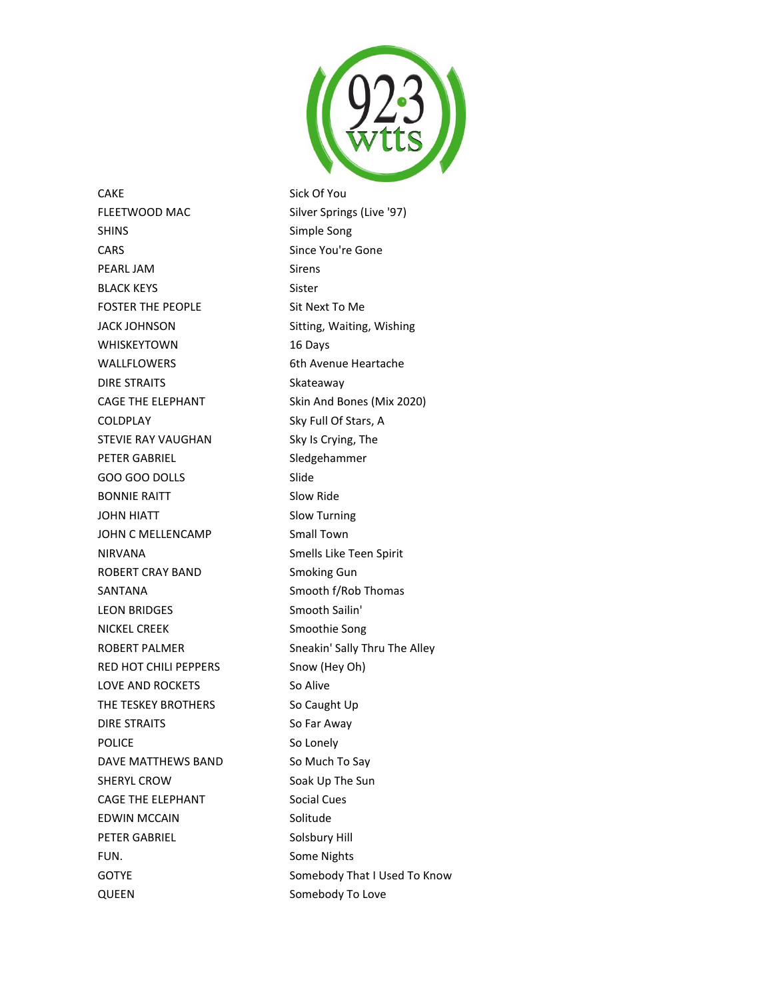

CAKE Sick Of You FLEETWOOD MAC Silver Springs (Live '97) SHINS Simple Song CARS Since You're Gone PEARL JAM Sirens BLACK KEYS Sister FOSTER THE PEOPLE Sit Next To Me JACK JOHNSON Sitting, Waiting, Wishing WHISKEYTOWN 16 Days WALLFLOWERS 6th Avenue Heartache DIRE STRAITS Skateaway CAGE THE ELEPHANT Skin And Bones (Mix 2020) COLDPLAY Sky Full Of Stars, A STEVIE RAY VAUGHAN SKy Is Crying, The PETER GABRIEL Sledgehammer GOO GOO DOLLS Slide BONNIE RAITT Slow Ride JOHN HIATT Slow Turning JOHN C MELLENCAMP Small Town NIRVANA Smells Like Teen Spirit ROBERT CRAY BAND Smoking Gun SANTANA SANTANA Smooth f/Rob Thomas LEON BRIDGES Smooth Sailin' NICKEL CREEK Smoothie Song ROBERT PALMER Sneakin' Sally Thru The Alley RED HOT CHILI PEPPERS Snow (Hey Oh) LOVE AND ROCKETS So Alive THE TESKEY BROTHERS So Caught Up DIRE STRAITS So Far Away POLICE So Lonely DAVE MATTHEWS BAND So Much To Say SHERYL CROW SOak Up The Sun CAGE THE ELEPHANT Social Cues EDWIN MCCAIN Solitude PETER GABRIEL Solsbury Hill FUN. Some Nights GOTYE Somebody That I Used To Know QUEEN Somebody To Love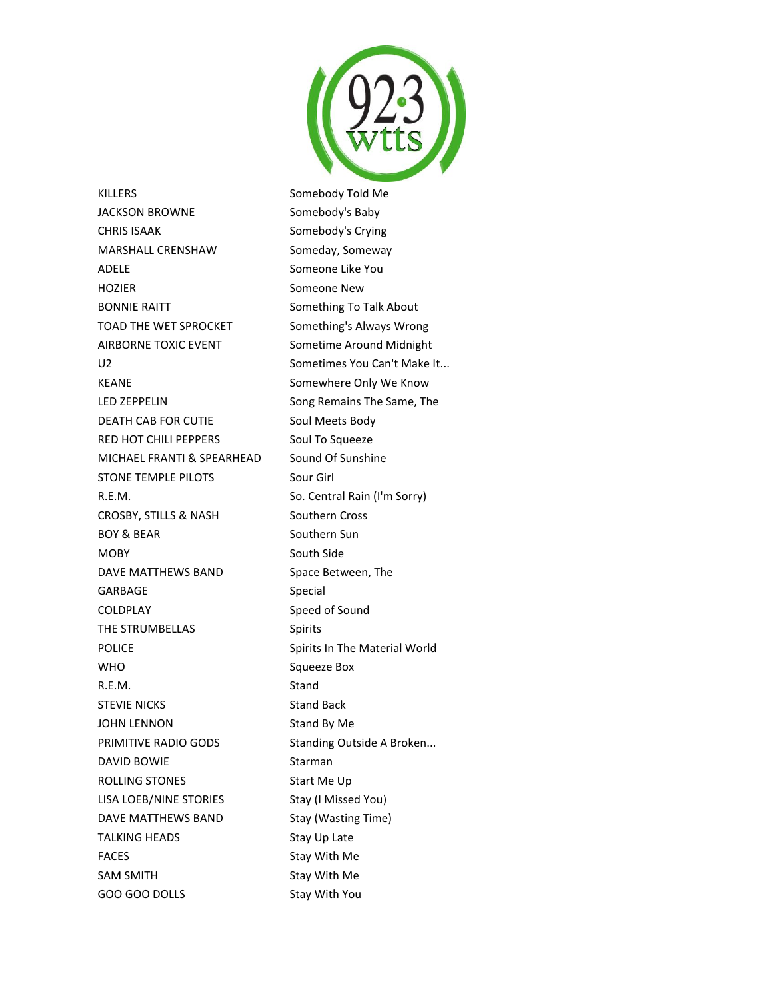

KILLERS Somebody Told Me JACKSON BROWNE Somebody's Baby CHRIS ISAAK Somebody's Crying MARSHALL CRENSHAW Someday, Someway ADELE Someone Like You HOZIER Someone New BONNIE RAITT Something To Talk About TOAD THE WET SPROCKET Something's Always Wrong AIRBORNE TOXIC EVENT Sometime Around Midnight U2 Sometimes You Can't Make It... KEANE Somewhere Only We Know LED ZEPPELIN Song Remains The Same, The DEATH CAB FOR CUTIE Soul Meets Body RED HOT CHILI PEPPERS Soul To Squeeze MICHAEL FRANTI & SPEARHEAD Sound Of Sunshine STONE TEMPLE PILOTS Sour Girl R.E.M. So. Central Rain (I'm Sorry) CROSBY, STILLS & NASH Southern Cross BOY & BEAR Southern Sun MOBY South Side DAVE MATTHEWS BAND Space Between, The GARBAGE Special COLDPLAY Speed of Sound THE STRUMBELLAS Spirits POLICE **Spirits In The Material World** WHO Squeeze Box R.E.M. Stand STEVIE NICKS Stand Back JOHN LENNON Stand By Me PRIMITIVE RADIO GODS Standing Outside A Broken... DAVID BOWIE Starman ROLLING STONES Start Me Up LISA LOEB/NINE STORIES Stay (I Missed You) DAVE MATTHEWS BAND Stay (Wasting Time) TALKING HEADS Stay Up Late FACES Stay With Me SAM SMITH SAM STAY With Me GOO GOO DOLLS Stay With You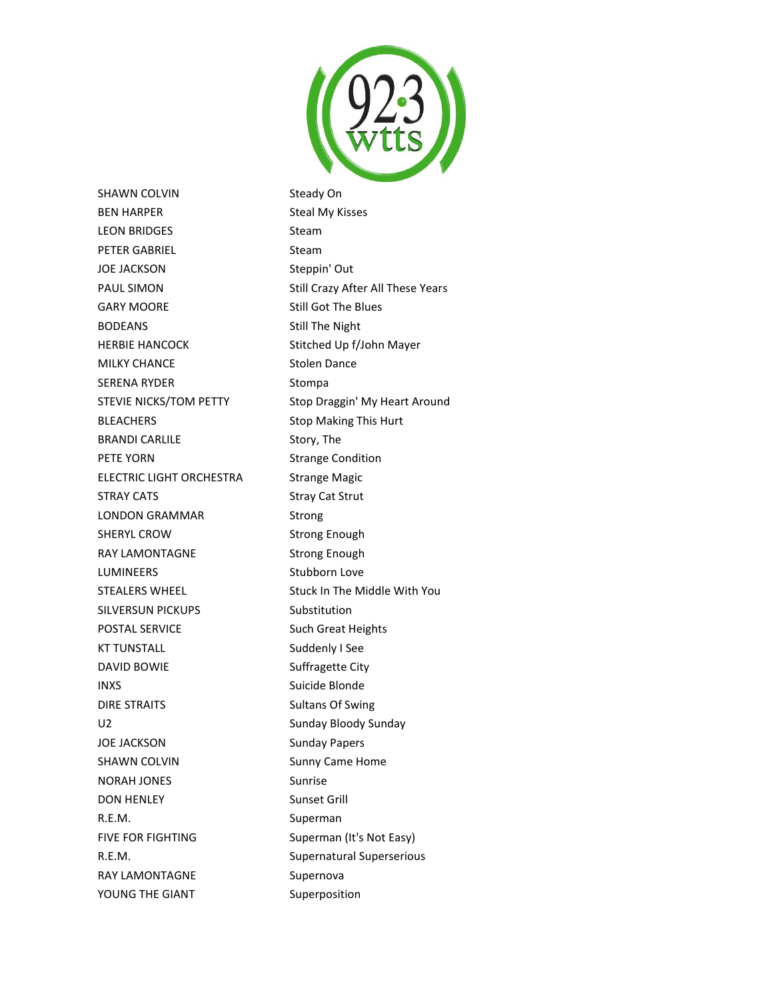

SHAWN COLVIN Steady On BEN HARPER Steal My Kisses LEON BRIDGES Steam PETER GABRIEL Steam JOE JACKSON Steppin' Out PAUL SIMON Still Crazy After All These Years GARY MOORE Still Got The Blues BODEANS Still The Night HERBIE HANCOCK Stitched Up f/John Mayer MILKY CHANCE Stolen Dance SERENA RYDER Stompa STEVIE NICKS/TOM PETTY Stop Draggin' My Heart Around BLEACHERS Stop Making This Hurt BRANDI CARLILE Story, The PETE YORN Strange Condition ELECTRIC LIGHT ORCHESTRA Strange Magic STRAY CATS STRAY CATS LONDON GRAMMAR Strong SHERYL CROW Strong Enough RAY LAMONTAGNE Strong Enough LUMINEERS Stubborn Love STEALERS WHEEL Stuck In The Middle With You SILVERSUN PICKUPS Substitution POSTAL SERVICE Such Great Heights KT TUNSTALL Suddenly I See DAVID BOWIE Suffragette City INXS Suicide Blonde DIRE STRAITS Sultans Of Swing U2 Sunday Bloody Sunday JOE JACKSON Sunday Papers SHAWN COLVIN SHAWN COLVING SUNNY Came Home NORAH JONES Sunrise DON HENLEY Sunset Grill R.E.M. Superman FIVE FOR FIGHTING Superman (It's Not Easy) R.E.M. Supernatural Superserious RAY LAMONTAGNE Supernova

YOUNG THE GIANT Superposition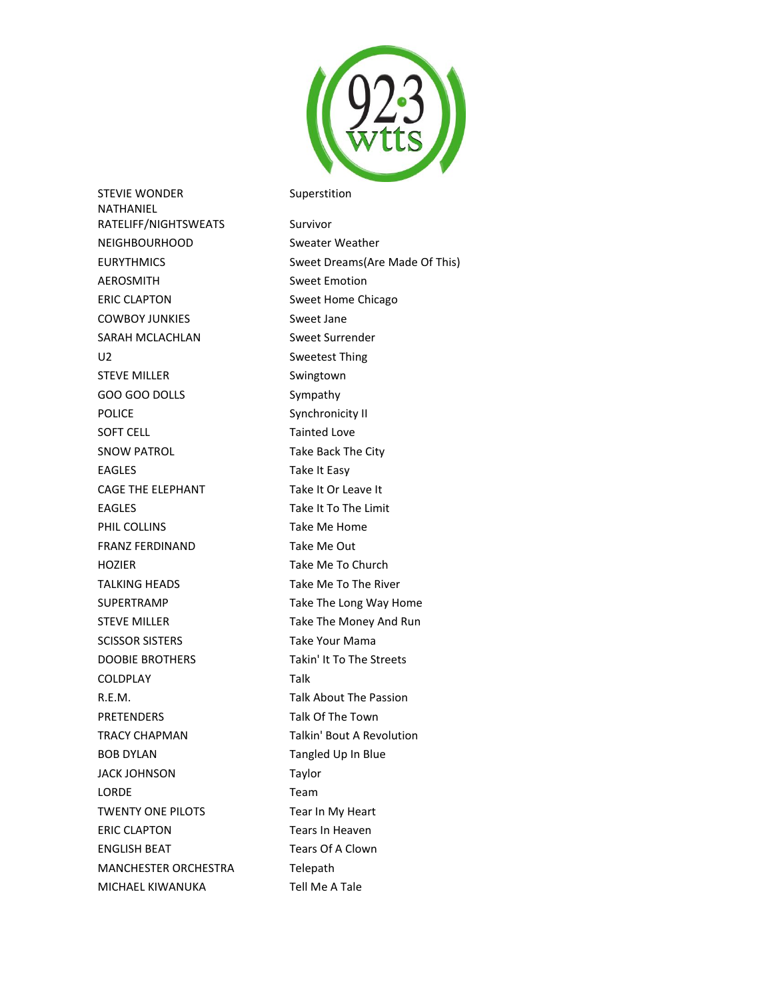

STEVIE WONDER Superstition

NATHANIEL RATELIFF/NIGHTSWEATS Survivor NEIGHBOURHOOD Sweater Weather EURYTHMICS Sweet Dreams(Are Made Of This) AEROSMITH Sweet Emotion ERIC CLAPTON Sweet Home Chicago COWBOY JUNKIES Sweet Jane SARAH MCLACHLAN Sweet Surrender U2 Sweetest Thing STEVE MILLER Swingtown GOO GOO DOLLS Sympathy POLICE Synchronicity II SOFT CELL Tainted Love SNOW PATROL Take Back The City EAGLES Take It Easy CAGE THE ELEPHANT Take It Or Leave It EAGLES Take It To The Limit PHIL COLLINS **Take Me Home** FRANZ FERDINAND Take Me Out HOZIER Take Me To Church TALKING HEADS Take Me To The River SUPERTRAMP Take The Long Way Home STEVE MILLER Take The Money And Run SCISSOR SISTERS Take Your Mama DOOBIE BROTHERS Takin' It To The Streets COLDPLAY Talk R.E.M. Talk About The Passion PRETENDERS Talk Of The Town TRACY CHAPMAN Talkin' Bout A Revolution BOB DYLAN Tangled Up In Blue JACK JOHNSON Taylor LORDE Team TWENTY ONE PILOTS Tear In My Heart ERIC CLAPTON Tears In Heaven ENGLISH BEAT Tears Of A Clown MANCHESTER ORCHESTRA Telepath MICHAEL KIWANUKA Tell Me A Tale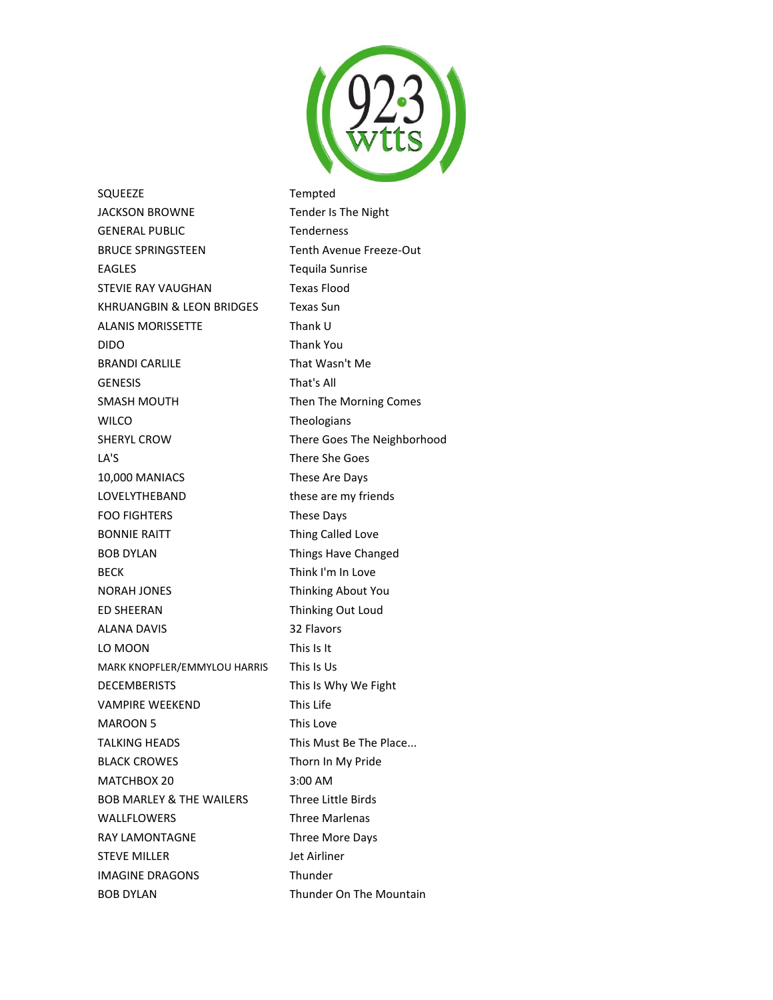

SQUEEZE Tempted JACKSON BROWNE Tender Is The Night GENERAL PUBLIC Tenderness BRUCE SPRINGSTEEN Tenth Avenue Freeze-Out EAGLES Tequila Sunrise STEVIE RAY VAUGHAN Texas Flood KHRUANGBIN & LEON BRIDGES Texas Sun ALANIS MORISSETTE Thank U DIDO Thank You BRANDI CARLILE That Wasn't Me GENESIS That's All SMASH MOUTH Then The Morning Comes WILCO Theologians SHERYL CROW There Goes The Neighborhood LA'S There She Goes 10,000 MANIACS These Are Days LOVELYTHEBAND these are my friends FOO FIGHTERS These Days BONNIE RAITT **Thing Called Love** BOB DYLAN Things Have Changed BECK Think I'm In Love NORAH JONES Thinking About You ED SHEERAN Thinking Out Loud ALANA DAVIS 32 Flavors LO MOON This Is It MARK KNOPFLER/EMMYLOU HARRIS This Is Us DECEMBERISTS This Is Why We Fight VAMPIRE WEEKEND This Life MAROON 5 This Love TALKING HEADS This Must Be The Place... BLACK CROWES Thorn In My Pride MATCHBOX 20 3:00 AM BOB MARLEY & THE WAILERS Three Little Birds WALLFLOWERS Three Marlenas RAY LAMONTAGNE Three More Days STEVE MILLER Jet Airliner IMAGINE DRAGONS Thunder BOB DYLAN Thunder On The Mountain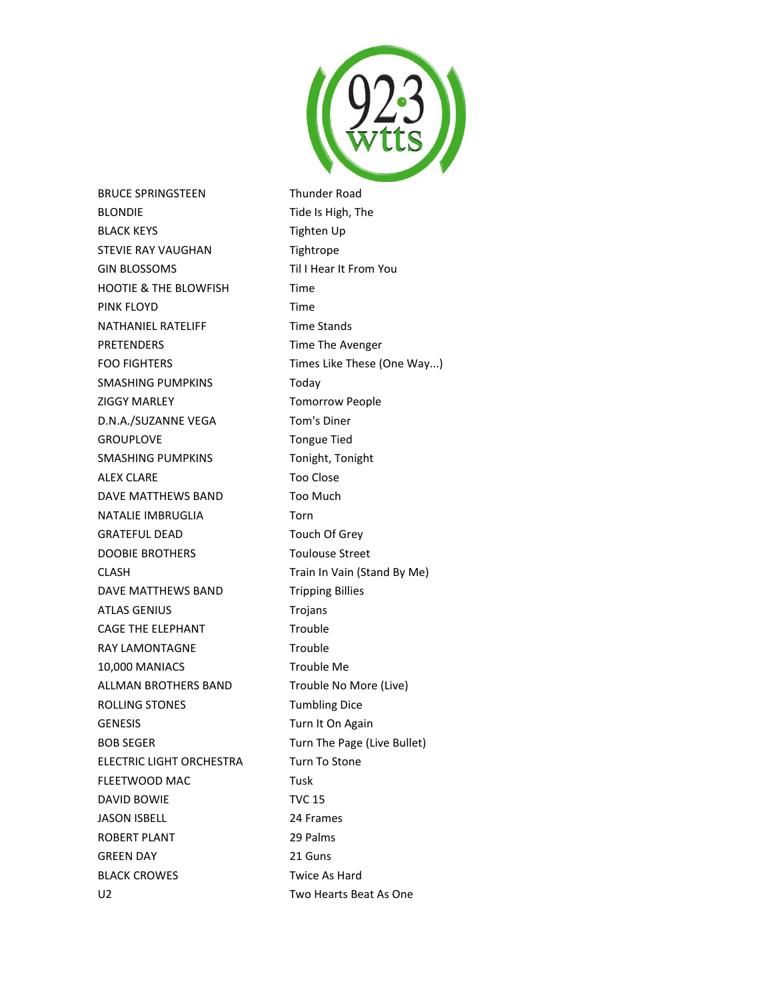

BRUCE SPRINGSTEEN Thunder Road BLONDIE Tide Is High, The BLACK KEYS Tighten Up STEVIE RAY VAUGHAN Tightrope GIN BLOSSOMS Til I Hear It From You HOOTIE & THE BLOWFISH Time PINK FLOYD **Time** NATHANIEL RATELIFF Time Stands PRETENDERS Time The Avenger FOO FIGHTERS Times Like These (One Way...) SMASHING PUMPKINS Today ZIGGY MARLEY **TOMOTRY** Tomorrow People D.N.A./SUZANNE VEGA Tom's Diner GROUPLOVE Tongue Tied SMASHING PUMPKINS Tonight, Tonight ALEX CLARE Too Close DAVE MATTHEWS BAND Too Much NATALIE IMBRUGLIA Torn GRATEFUL DEAD Touch Of Grey DOOBIE BROTHERS Toulouse Street CLASH Train In Vain (Stand By Me) DAVE MATTHEWS BAND Tripping Billies ATLAS GENIUS Trojans CAGE THE ELEPHANT Trouble RAY LAMONTAGNE Trouble 10,000 MANIACS Trouble Me ALLMAN BROTHERS BAND Trouble No More (Live) ROLLING STONES Tumbling Dice GENESIS Turn It On Again BOB SEGER Turn The Page (Live Bullet) ELECTRIC LIGHT ORCHESTRA Turn To Stone FLEETWOOD MAC Tusk DAVID BOWIE TVC 15 JASON ISBELL 24 Frames ROBERT PLANT 29 Palms GREEN DAY 21 Guns BLACK CROWES Twice As Hard

U2 Two Hearts Beat As One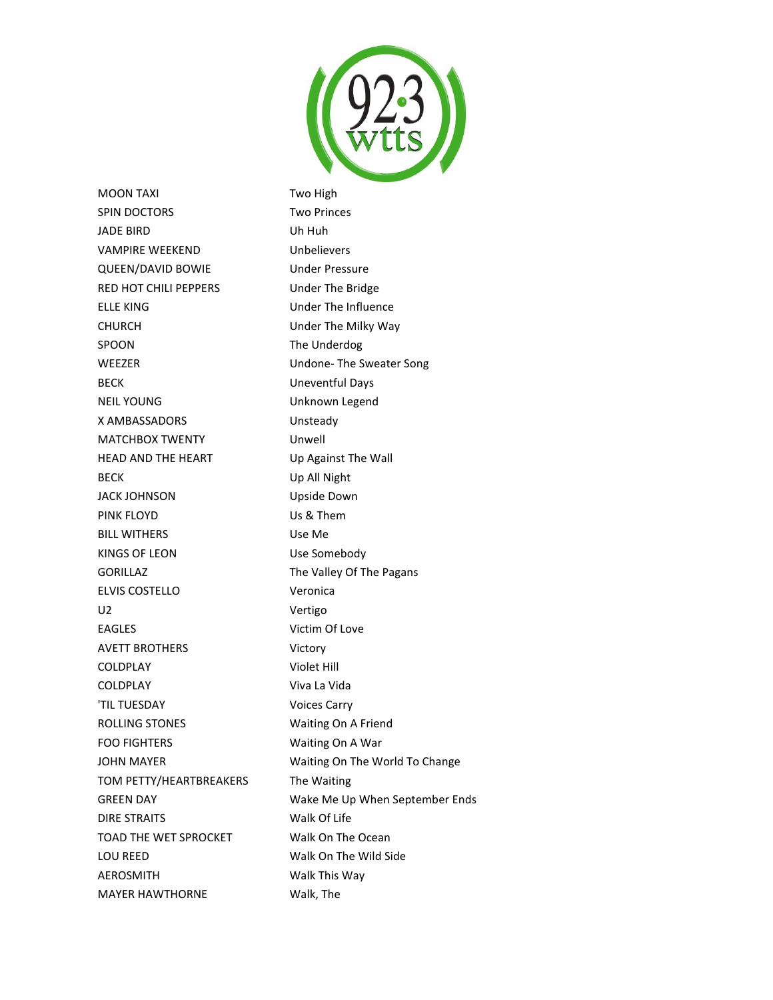

MOON TAXI Two High SPIN DOCTORS Two Princes JADE BIRD Uh Huh VAMPIRE WEEKEND Unbelievers QUEEN/DAVID BOWIE Under Pressure RED HOT CHILI PEPPERS Under The Bridge ELLE KING **Under The Influence** CHURCH Under The Milky Way SPOON The Underdog WEEZER Undone- The Sweater Song BECK Uneventful Days NEIL YOUNG **WEIL YOUNG** Unknown Legend X AMBASSADORS Unsteady MATCHBOX TWENTY Unwell HEAD AND THE HEART Up Against The Wall BECK Up All Night JACK JOHNSON Upside Down PINK FLOYD Us & Them BILL WITHERS Use Me KINGS OF LEON Use Somebody GORILLAZ The Valley Of The Pagans ELVIS COSTELLO Veronica U2 Vertigo EAGLES Victim Of Love AVETT BROTHERS Victory COLDPLAY Violet Hill COLDPLAY Viva La Vida 'TIL TUESDAY Voices Carry ROLLING STONES Waiting On A Friend FOO FIGHTERS Waiting On A War JOHN MAYER Waiting On The World To Change TOM PETTY/HEARTBREAKERS The Waiting DIRE STRAITS Walk Of Life TOAD THE WET SPROCKET Walk On The Ocean LOU REED Walk On The Wild Side AEROSMITH Walk This Way MAYER HAWTHORNE Walk, The

GREEN DAY **Wake Me Up When September Ends**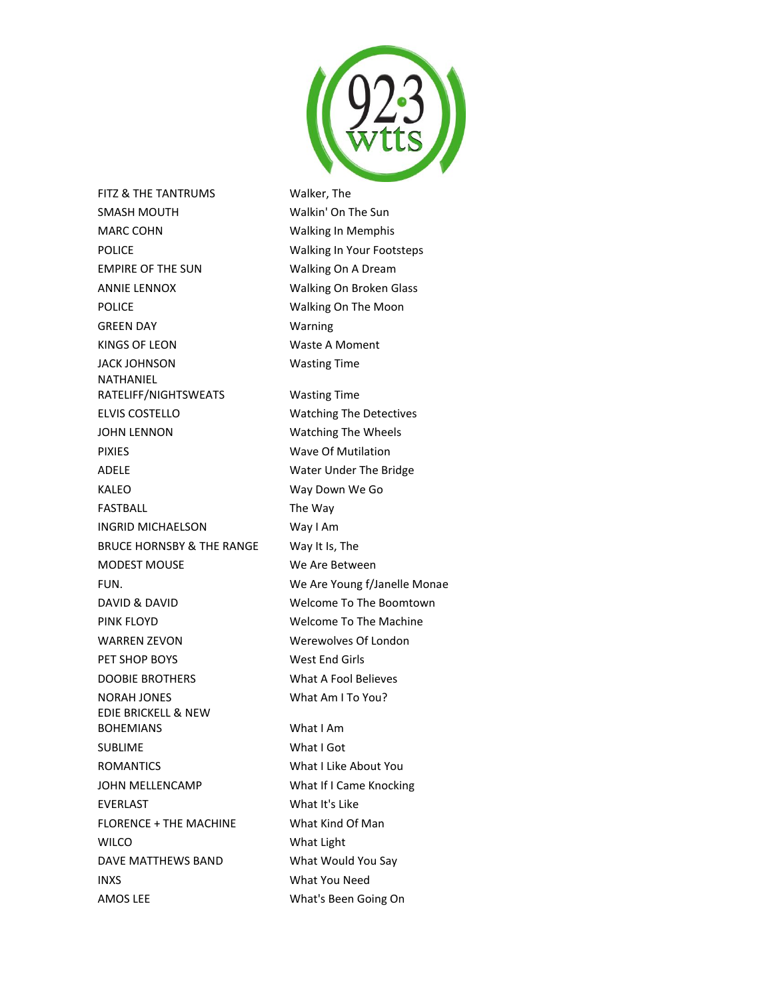

FITZ & THE TANTRUMS Walker, The SMASH MOUTH Walkin' On The Sun MARC COHN Walking In Memphis POLICE **No. 2018** Walking In Your Footsteps EMPIRE OF THE SUN Walking On A Dream ANNIE LENNOX Walking On Broken Glass POLICE **Walking On The Moon** GREEN DAY Warning KINGS OF LEON Waste A Moment JACK JOHNSON Wasting Time NATHANIEL RATELIFF/NIGHTSWEATS Wasting Time ELVIS COSTELLO Watching The Detectives JOHN LENNON Watching The Wheels PIXIES Wave Of Mutilation ADELE Water Under The Bridge KALEO Way Down We Go FASTBALL The Way INGRID MICHAELSON Way I Am BRUCE HORNSBY & THE RANGE Way It Is, The MODEST MOUSE We Are Between FUN. We Are Young f/Janelle Monae DAVID & DAVID Welcome To The Boomtown PINK FLOYD Welcome To The Machine WARREN ZEVON Werewolves Of London PET SHOP BOYS West End Girls DOOBIE BROTHERS What A Fool Believes NORAH JONES What Am I To You? EDIE BRICKELL & NEW BOHEMIANS What I Am SUBLIME What I Got ROMANTICS What I Like About You JOHN MELLENCAMP What If I Came Knocking EVERLAST What It's Like FLORENCE + THE MACHINE What Kind Of Man WILCO What Light DAVE MATTHEWS BAND What Would You Say INXS What You Need

AMOS LEE What's Been Going On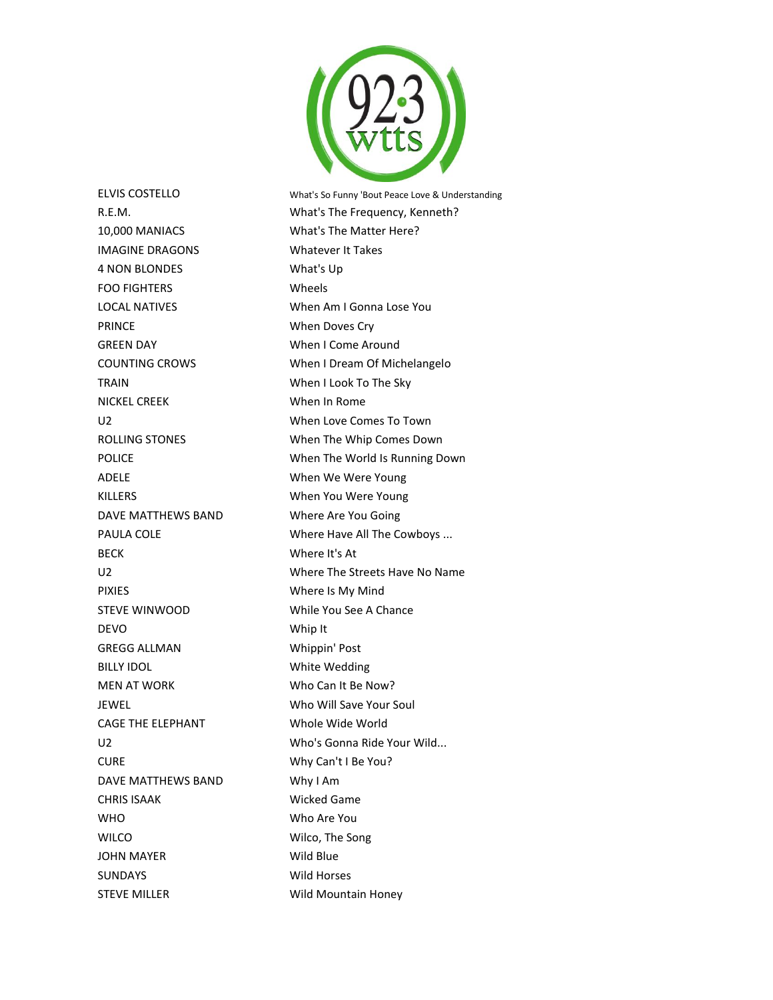

10,000 MANIACS What's The Matter Here? IMAGINE DRAGONS Whatever It Takes 4 NON BLONDES What's Up FOO FIGHTERS Wheels PRINCE When Doves Cry GREEN DAY When I Come Around TRAIN When I Look To The Sky NICKEL CREEK When In Rome ADELE When We Were Young KILLERS When You Were Young DAVE MATTHEWS BAND Where Are You Going BECK Where It's At PIXIES Where Is My Mind STEVE WINWOOD While You See A Chance DEVO Whip It GREGG ALLMAN Whippin' Post BILLY IDOL White Wedding MEN AT WORK Who Can It Be Now? JEWEL Who Will Save Your Soul CAGE THE ELEPHANT Whole Wide World CURE Why Can't I Be You? DAVE MATTHEWS BAND Why I Am CHRIS ISAAK Wicked Game WHO Who Are You WILCO Wilco, The Song JOHN MAYER Wild Blue SUNDAYS Wild Horses

ELVIS COSTELLO What's So Funny 'Bout Peace Love & Understanding R.E.M. What's The Frequency, Kenneth? LOCAL NATIVES When Am I Gonna Lose You COUNTING CROWS When I Dream Of Michelangelo U2 When Love Comes To Town ROLLING STONES When The Whip Comes Down POLICE **When The World Is Running Down** PAULA COLE **Where Have All The Cowboys** ... U2 Where The Streets Have No Name U2 Who's Gonna Ride Your Wild... STEVE MILLER Wild Mountain Honey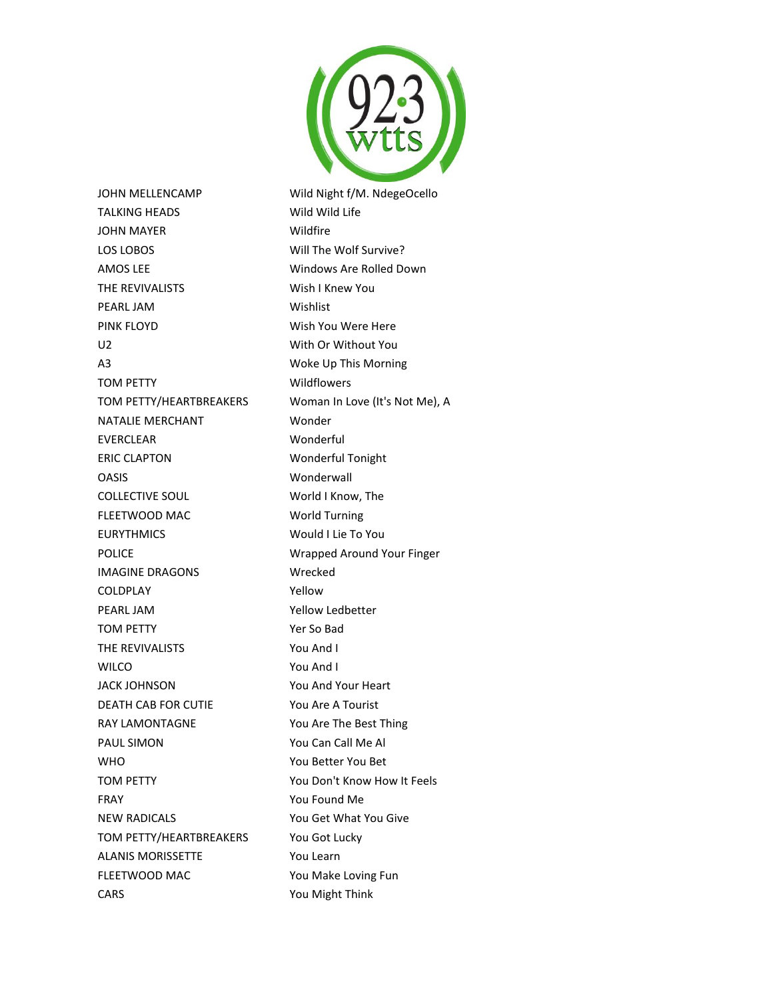

JOHN MELLENCAMP Wild Night f/M. NdegeOcello TALKING HEADS Wild Wild Life JOHN MAYER Wildfire LOS LOBOS Will The Wolf Survive? AMOS LEE Windows Are Rolled Down THE REVIVALISTS Wish I Knew You PEARL JAM Wishlist PINK FLOYD Wish You Were Here U2 With Or Without You A3 Woke Up This Morning TOM PETTY Wildflowers TOM PETTY/HEARTBREAKERS Woman In Love (It's Not Me), A NATALIE MERCHANT Wonder EVERCLEAR Wonderful ERIC CLAPTON Wonderful Tonight OASIS Wonderwall COLLECTIVE SOUL World I Know, The FLEETWOOD MAC World Turning EURYTHMICS Would I Lie To You POLICE **No. 2018 ISLAND MEET ARE Wrapped Around Your Finger** IMAGINE DRAGONS Wrecked COLDPLAY Yellow PEARL JAM Yellow Ledbetter TOM PETTY Yer So Bad THE REVIVALISTS You And I WILCO **You And I** JACK JOHNSON You And Your Heart DEATH CAB FOR CUTIE You Are A Tourist RAY LAMONTAGNE You Are The Best Thing PAUL SIMON You Can Call Me Al WHO WHO **You Better You Bet** TOM PETTY TOM PETTY FRAY **FRAY** You Found Me NEW RADICALS You Get What You Give TOM PETTY/HEARTBREAKERS You Got Lucky ALANIS MORISSETTE You Learn FLEETWOOD MAC You Make Loving Fun CARS You Might Think